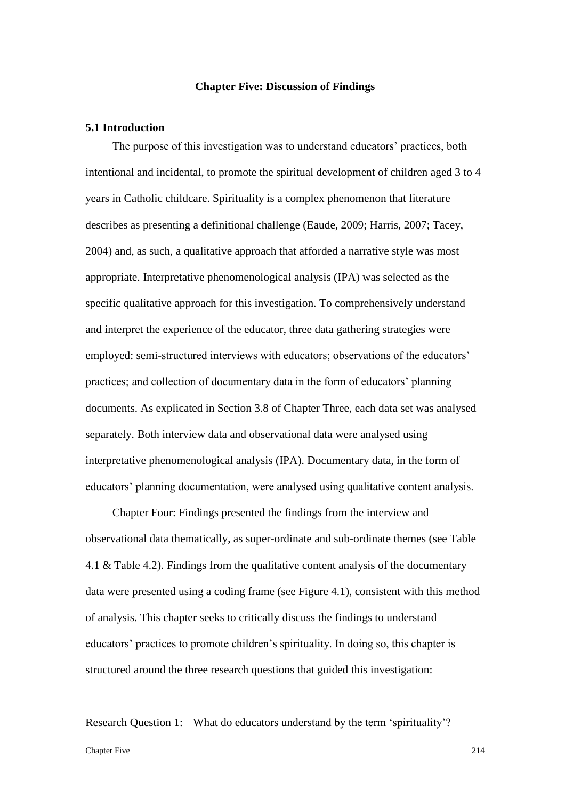### **Chapter Five: Discussion of Findings**

### **5.1 Introduction**

The purpose of this investigation was to understand educators' practices, both intentional and incidental, to promote the spiritual development of children aged 3 to 4 years in Catholic childcare. Spirituality is a complex phenomenon that literature describes as presenting a definitional challenge (Eaude, 2009; Harris, 2007; Tacey, 2004) and, as such, a qualitative approach that afforded a narrative style was most appropriate. Interpretative phenomenological analysis (IPA) was selected as the specific qualitative approach for this investigation. To comprehensively understand and interpret the experience of the educator, three data gathering strategies were employed: semi-structured interviews with educators; observations of the educators' practices; and collection of documentary data in the form of educators' planning documents. As explicated in Section 3.8 of Chapter Three, each data set was analysed separately. Both interview data and observational data were analysed using interpretative phenomenological analysis (IPA). Documentary data, in the form of educators' planning documentation, were analysed using qualitative content analysis.

Chapter Four: Findings presented the findings from the interview and observational data thematically, as super-ordinate and sub-ordinate themes (see Table 4.1 & Table 4.2). Findings from the qualitative content analysis of the documentary data were presented using a coding frame (see Figure 4.1), consistent with this method of analysis. This chapter seeks to critically discuss the findings to understand educators' practices to promote children's spirituality. In doing so, this chapter is structured around the three research questions that guided this investigation:

Research Question 1: What do educators understand by the term 'spirituality'?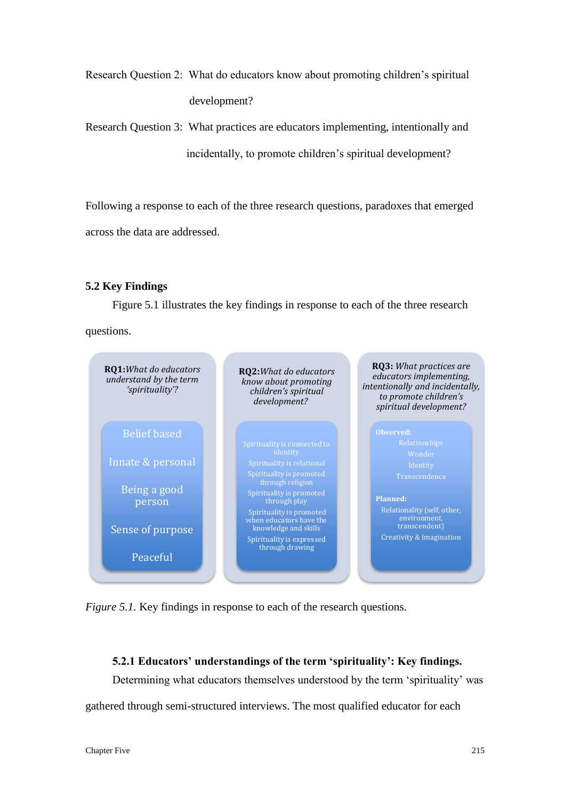Research Question 2: What do educators know about promoting children's spiritual development?

Research Question 3: What practices are educators implementing, intentionally and incidentally, to promote children's spiritual development?

Following a response to each of the three research questions, paradoxes that emerged across the data are addressed.

# **5.2 Key Findings**

Figure 5.1 illustrates the key findings in response to each of the three research questions.



*Figure 5.1.* Key findings in response to each of the research questions.

# **5.2.1 Educators' understandings of the term 'spirituality': Key findings.**

Determining what educators themselves understood by the term 'spirituality' was gathered through semi-structured interviews. The most qualified educator for each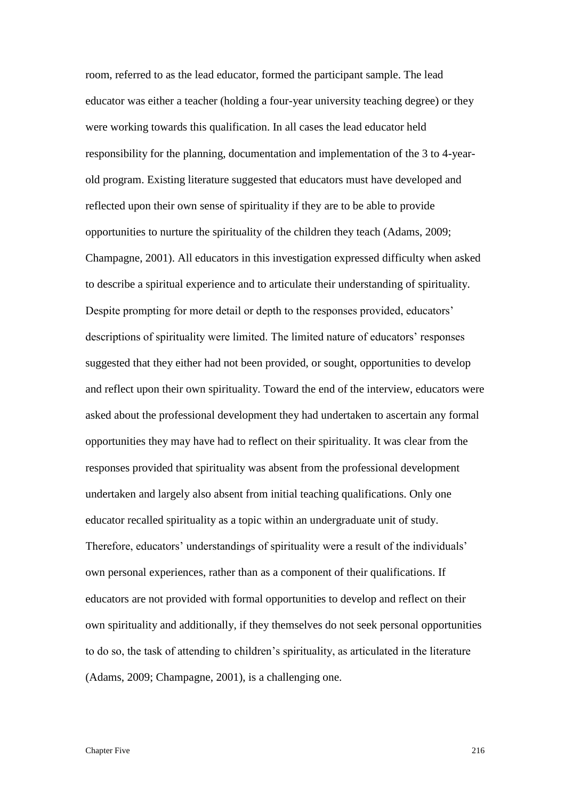room, referred to as the lead educator, formed the participant sample. The lead educator was either a teacher (holding a four-year university teaching degree) or they were working towards this qualification. In all cases the lead educator held responsibility for the planning, documentation and implementation of the 3 to 4-yearold program. Existing literature suggested that educators must have developed and reflected upon their own sense of spirituality if they are to be able to provide opportunities to nurture the spirituality of the children they teach (Adams, 2009; Champagne, 2001). All educators in this investigation expressed difficulty when asked to describe a spiritual experience and to articulate their understanding of spirituality. Despite prompting for more detail or depth to the responses provided, educators' descriptions of spirituality were limited. The limited nature of educators' responses suggested that they either had not been provided, or sought, opportunities to develop and reflect upon their own spirituality. Toward the end of the interview, educators were asked about the professional development they had undertaken to ascertain any formal opportunities they may have had to reflect on their spirituality. It was clear from the responses provided that spirituality was absent from the professional development undertaken and largely also absent from initial teaching qualifications. Only one educator recalled spirituality as a topic within an undergraduate unit of study. Therefore, educators' understandings of spirituality were a result of the individuals' own personal experiences, rather than as a component of their qualifications. If educators are not provided with formal opportunities to develop and reflect on their own spirituality and additionally, if they themselves do not seek personal opportunities to do so, the task of attending to children's spirituality, as articulated in the literature (Adams, 2009; Champagne, 2001), is a challenging one.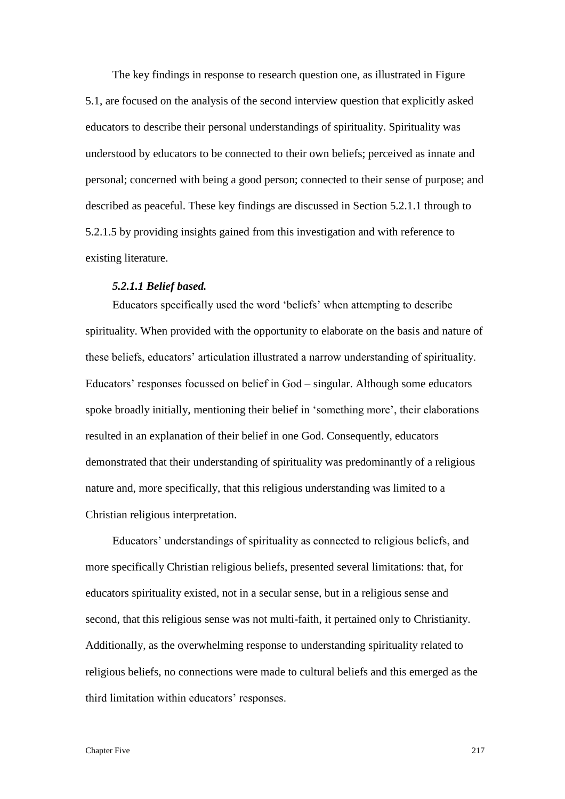The key findings in response to research question one, as illustrated in Figure 5.1, are focused on the analysis of the second interview question that explicitly asked educators to describe their personal understandings of spirituality. Spirituality was understood by educators to be connected to their own beliefs; perceived as innate and personal; concerned with being a good person; connected to their sense of purpose; and described as peaceful. These key findings are discussed in Section 5.2.1.1 through to 5.2.1.5 by providing insights gained from this investigation and with reference to existing literature.

## *5.2.1.1 Belief based.*

Educators specifically used the word 'beliefs' when attempting to describe spirituality. When provided with the opportunity to elaborate on the basis and nature of these beliefs, educators' articulation illustrated a narrow understanding of spirituality. Educators' responses focussed on belief in God – singular. Although some educators spoke broadly initially, mentioning their belief in 'something more', their elaborations resulted in an explanation of their belief in one God. Consequently, educators demonstrated that their understanding of spirituality was predominantly of a religious nature and, more specifically, that this religious understanding was limited to a Christian religious interpretation.

Educators' understandings of spirituality as connected to religious beliefs, and more specifically Christian religious beliefs, presented several limitations: that, for educators spirituality existed, not in a secular sense, but in a religious sense and second, that this religious sense was not multi-faith, it pertained only to Christianity. Additionally, as the overwhelming response to understanding spirituality related to religious beliefs, no connections were made to cultural beliefs and this emerged as the third limitation within educators' responses.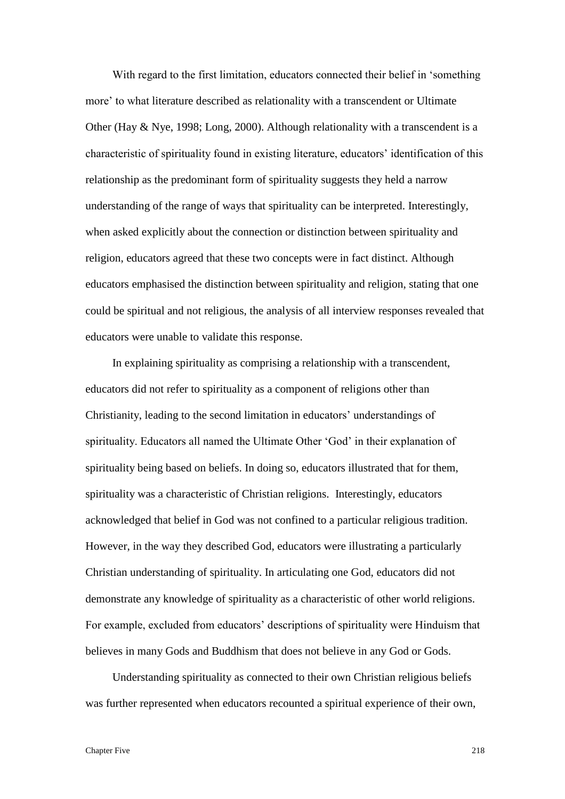With regard to the first limitation, educators connected their belief in 'something more' to what literature described as relationality with a transcendent or Ultimate Other (Hay & Nye, 1998; Long, 2000). Although relationality with a transcendent is a characteristic of spirituality found in existing literature, educators' identification of this relationship as the predominant form of spirituality suggests they held a narrow understanding of the range of ways that spirituality can be interpreted. Interestingly, when asked explicitly about the connection or distinction between spirituality and religion, educators agreed that these two concepts were in fact distinct. Although educators emphasised the distinction between spirituality and religion, stating that one could be spiritual and not religious, the analysis of all interview responses revealed that educators were unable to validate this response.

In explaining spirituality as comprising a relationship with a transcendent, educators did not refer to spirituality as a component of religions other than Christianity, leading to the second limitation in educators' understandings of spirituality. Educators all named the Ultimate Other 'God' in their explanation of spirituality being based on beliefs. In doing so, educators illustrated that for them, spirituality was a characteristic of Christian religions. Interestingly, educators acknowledged that belief in God was not confined to a particular religious tradition. However, in the way they described God, educators were illustrating a particularly Christian understanding of spirituality. In articulating one God, educators did not demonstrate any knowledge of spirituality as a characteristic of other world religions. For example, excluded from educators' descriptions of spirituality were Hinduism that believes in many Gods and Buddhism that does not believe in any God or Gods.

Understanding spirituality as connected to their own Christian religious beliefs was further represented when educators recounted a spiritual experience of their own,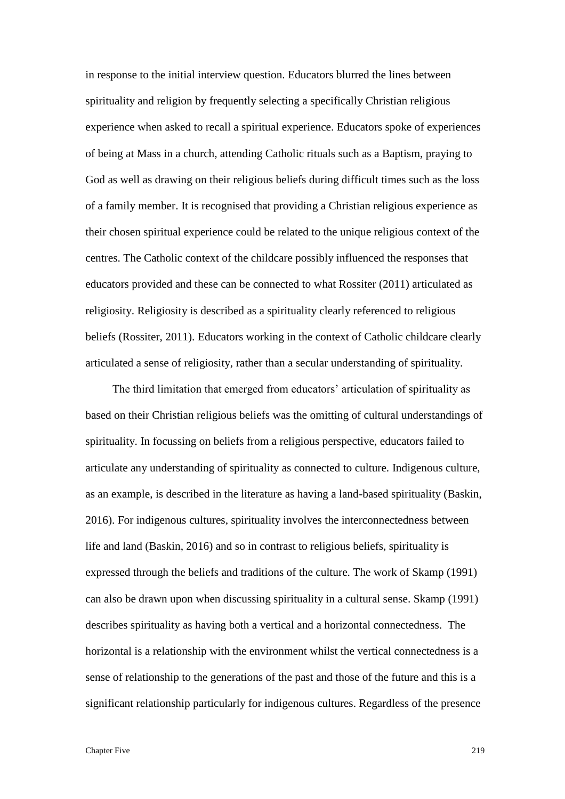in response to the initial interview question. Educators blurred the lines between spirituality and religion by frequently selecting a specifically Christian religious experience when asked to recall a spiritual experience. Educators spoke of experiences of being at Mass in a church, attending Catholic rituals such as a Baptism, praying to God as well as drawing on their religious beliefs during difficult times such as the loss of a family member. It is recognised that providing a Christian religious experience as their chosen spiritual experience could be related to the unique religious context of the centres. The Catholic context of the childcare possibly influenced the responses that educators provided and these can be connected to what Rossiter (2011) articulated as religiosity. Religiosity is described as a spirituality clearly referenced to religious beliefs (Rossiter, 2011). Educators working in the context of Catholic childcare clearly articulated a sense of religiosity, rather than a secular understanding of spirituality.

The third limitation that emerged from educators' articulation of spirituality as based on their Christian religious beliefs was the omitting of cultural understandings of spirituality. In focussing on beliefs from a religious perspective, educators failed to articulate any understanding of spirituality as connected to culture. Indigenous culture, as an example, is described in the literature as having a land-based spirituality (Baskin, 2016). For indigenous cultures, spirituality involves the interconnectedness between life and land (Baskin, 2016) and so in contrast to religious beliefs, spirituality is expressed through the beliefs and traditions of the culture. The work of Skamp (1991) can also be drawn upon when discussing spirituality in a cultural sense. Skamp (1991) describes spirituality as having both a vertical and a horizontal connectedness. The horizontal is a relationship with the environment whilst the vertical connectedness is a sense of relationship to the generations of the past and those of the future and this is a significant relationship particularly for indigenous cultures. Regardless of the presence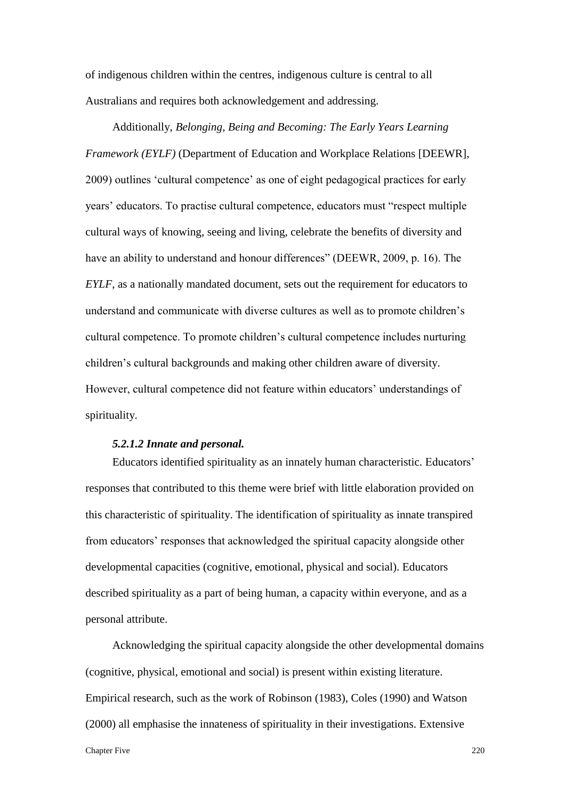of indigenous children within the centres, indigenous culture is central to all Australians and requires both acknowledgement and addressing.

Additionally, *Belonging, Being and Becoming: The Early Years Learning Framework (EYLF)* (Department of Education and Workplace Relations [DEEWR], 2009) outlines 'cultural competence' as one of eight pedagogical practices for early years' educators. To practise cultural competence, educators must "respect multiple cultural ways of knowing, seeing and living, celebrate the benefits of diversity and have an ability to understand and honour differences" (DEEWR, 2009, p. 16). The *EYLF*, as a nationally mandated document, sets out the requirement for educators to understand and communicate with diverse cultures as well as to promote children's cultural competence. To promote children's cultural competence includes nurturing children's cultural backgrounds and making other children aware of diversity. However, cultural competence did not feature within educators' understandings of spirituality.

### *5.2.1.2 Innate and personal.*

Educators identified spirituality as an innately human characteristic. Educators' responses that contributed to this theme were brief with little elaboration provided on this characteristic of spirituality. The identification of spirituality as innate transpired from educators' responses that acknowledged the spiritual capacity alongside other developmental capacities (cognitive, emotional, physical and social). Educators described spirituality as a part of being human, a capacity within everyone, and as a personal attribute.

Chapter Five 220 Acknowledging the spiritual capacity alongside the other developmental domains (cognitive, physical, emotional and social) is present within existing literature. Empirical research, such as the work of Robinson (1983), Coles (1990) and Watson (2000) all emphasise the innateness of spirituality in their investigations. Extensive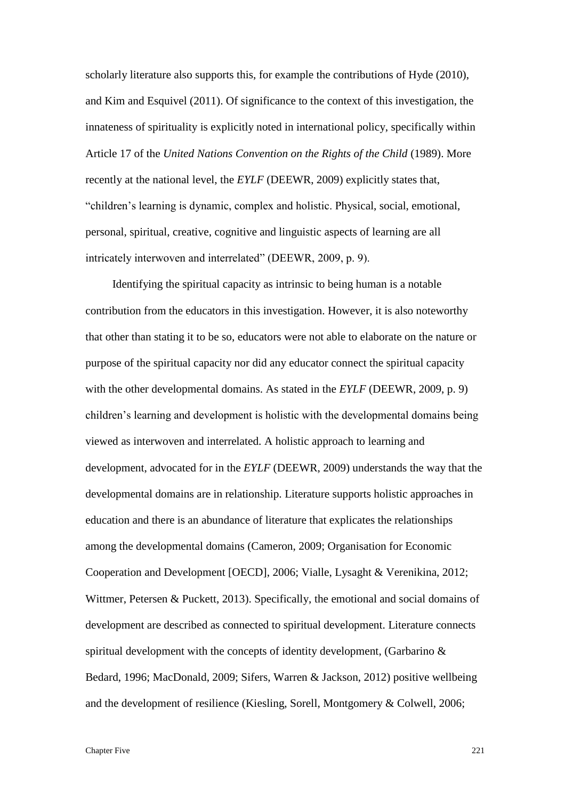scholarly literature also supports this, for example the contributions of Hyde (2010), and Kim and Esquivel (2011). Of significance to the context of this investigation, the innateness of spirituality is explicitly noted in international policy, specifically within Article 17 of the *United Nations Convention on the Rights of the Child* (1989). More recently at the national level, the *EYLF* (DEEWR, 2009) explicitly states that, "children's learning is dynamic, complex and holistic. Physical, social, emotional, personal, spiritual, creative, cognitive and linguistic aspects of learning are all intricately interwoven and interrelated" (DEEWR, 2009, p. 9).

Identifying the spiritual capacity as intrinsic to being human is a notable contribution from the educators in this investigation. However, it is also noteworthy that other than stating it to be so, educators were not able to elaborate on the nature or purpose of the spiritual capacity nor did any educator connect the spiritual capacity with the other developmental domains. As stated in the *EYLF* (DEEWR, 2009, p. 9) children's learning and development is holistic with the developmental domains being viewed as interwoven and interrelated. A holistic approach to learning and development, advocated for in the *EYLF* (DEEWR, 2009) understands the way that the developmental domains are in relationship. Literature supports holistic approaches in education and there is an abundance of literature that explicates the relationships among the developmental domains (Cameron, 2009; Organisation for Economic Cooperation and Development [OECD], 2006; Vialle, Lysaght & Verenikina, 2012; Wittmer, Petersen & Puckett, 2013). Specifically, the emotional and social domains of development are described as connected to spiritual development. Literature connects spiritual development with the concepts of identity development, (Garbarino & Bedard, 1996; MacDonald, 2009; Sifers, Warren & Jackson, 2012) positive wellbeing and the development of resilience (Kiesling, Sorell, Montgomery & Colwell, 2006;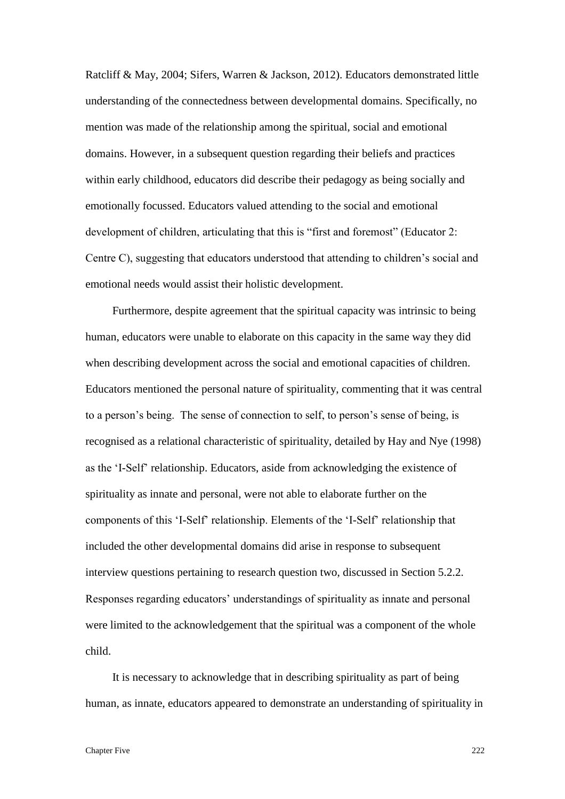Ratcliff & May, 2004; Sifers, Warren & Jackson, 2012). Educators demonstrated little understanding of the connectedness between developmental domains. Specifically, no mention was made of the relationship among the spiritual, social and emotional domains. However, in a subsequent question regarding their beliefs and practices within early childhood, educators did describe their pedagogy as being socially and emotionally focussed. Educators valued attending to the social and emotional development of children, articulating that this is "first and foremost" (Educator 2: Centre C), suggesting that educators understood that attending to children's social and emotional needs would assist their holistic development.

Furthermore, despite agreement that the spiritual capacity was intrinsic to being human, educators were unable to elaborate on this capacity in the same way they did when describing development across the social and emotional capacities of children. Educators mentioned the personal nature of spirituality, commenting that it was central to a person's being. The sense of connection to self, to person's sense of being, is recognised as a relational characteristic of spirituality, detailed by Hay and Nye (1998) as the 'I-Self' relationship. Educators, aside from acknowledging the existence of spirituality as innate and personal, were not able to elaborate further on the components of this 'I-Self' relationship. Elements of the 'I-Self' relationship that included the other developmental domains did arise in response to subsequent interview questions pertaining to research question two, discussed in Section 5.2.2. Responses regarding educators' understandings of spirituality as innate and personal were limited to the acknowledgement that the spiritual was a component of the whole child.

It is necessary to acknowledge that in describing spirituality as part of being human, as innate, educators appeared to demonstrate an understanding of spirituality in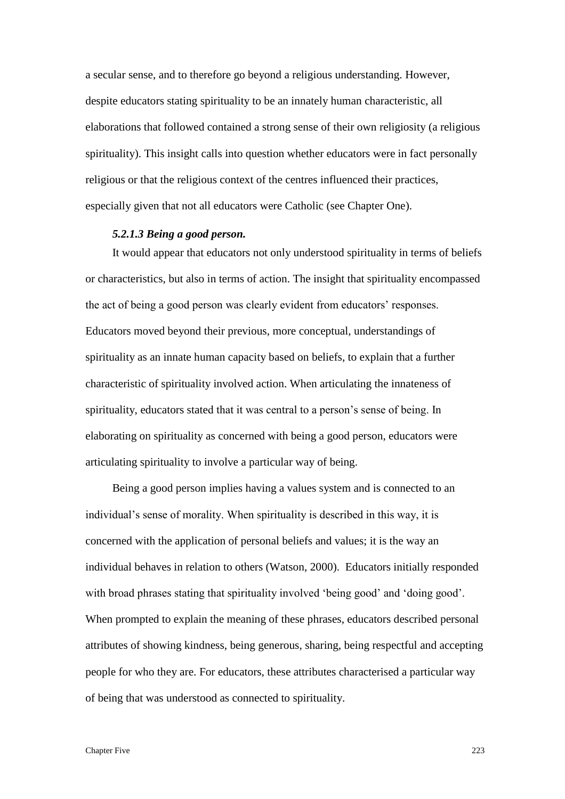a secular sense, and to therefore go beyond a religious understanding. However, despite educators stating spirituality to be an innately human characteristic, all elaborations that followed contained a strong sense of their own religiosity (a religious spirituality). This insight calls into question whether educators were in fact personally religious or that the religious context of the centres influenced their practices, especially given that not all educators were Catholic (see Chapter One).

### *5.2.1.3 Being a good person.*

It would appear that educators not only understood spirituality in terms of beliefs or characteristics, but also in terms of action. The insight that spirituality encompassed the act of being a good person was clearly evident from educators' responses. Educators moved beyond their previous, more conceptual, understandings of spirituality as an innate human capacity based on beliefs, to explain that a further characteristic of spirituality involved action. When articulating the innateness of spirituality, educators stated that it was central to a person's sense of being. In elaborating on spirituality as concerned with being a good person, educators were articulating spirituality to involve a particular way of being.

Being a good person implies having a values system and is connected to an individual's sense of morality. When spirituality is described in this way, it is concerned with the application of personal beliefs and values; it is the way an individual behaves in relation to others (Watson, 2000). Educators initially responded with broad phrases stating that spirituality involved 'being good' and 'doing good'. When prompted to explain the meaning of these phrases, educators described personal attributes of showing kindness, being generous, sharing, being respectful and accepting people for who they are. For educators, these attributes characterised a particular way of being that was understood as connected to spirituality.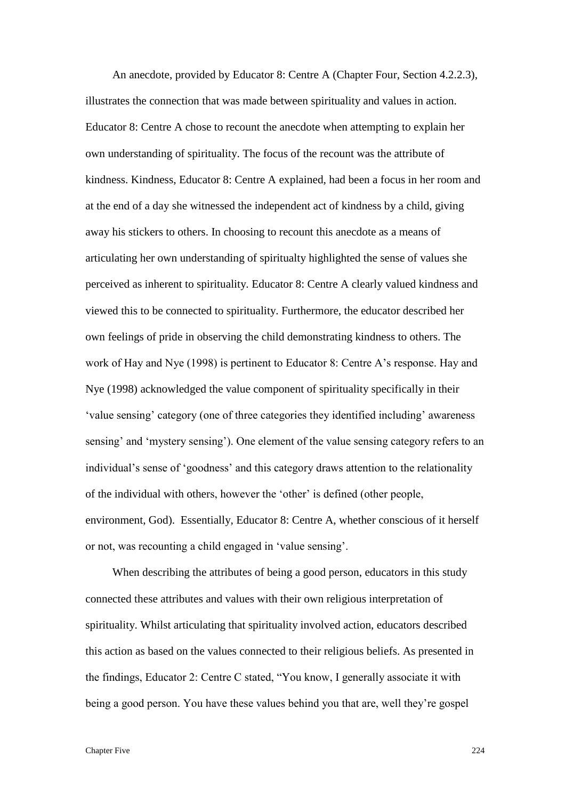An anecdote, provided by Educator 8: Centre A (Chapter Four, Section 4.2.2.3), illustrates the connection that was made between spirituality and values in action. Educator 8: Centre A chose to recount the anecdote when attempting to explain her own understanding of spirituality. The focus of the recount was the attribute of kindness. Kindness, Educator 8: Centre A explained, had been a focus in her room and at the end of a day she witnessed the independent act of kindness by a child, giving away his stickers to others. In choosing to recount this anecdote as a means of articulating her own understanding of spiritualty highlighted the sense of values she perceived as inherent to spirituality. Educator 8: Centre A clearly valued kindness and viewed this to be connected to spirituality. Furthermore, the educator described her own feelings of pride in observing the child demonstrating kindness to others. The work of Hay and Nye (1998) is pertinent to Educator 8: Centre A's response. Hay and Nye (1998) acknowledged the value component of spirituality specifically in their 'value sensing' category (one of three categories they identified including' awareness sensing' and 'mystery sensing'). One element of the value sensing category refers to an individual's sense of 'goodness' and this category draws attention to the relationality of the individual with others, however the 'other' is defined (other people, environment, God). Essentially, Educator 8: Centre A, whether conscious of it herself or not, was recounting a child engaged in 'value sensing'.

When describing the attributes of being a good person, educators in this study connected these attributes and values with their own religious interpretation of spirituality. Whilst articulating that spirituality involved action, educators described this action as based on the values connected to their religious beliefs. As presented in the findings, Educator 2: Centre C stated, "You know, I generally associate it with being a good person. You have these values behind you that are, well they're gospel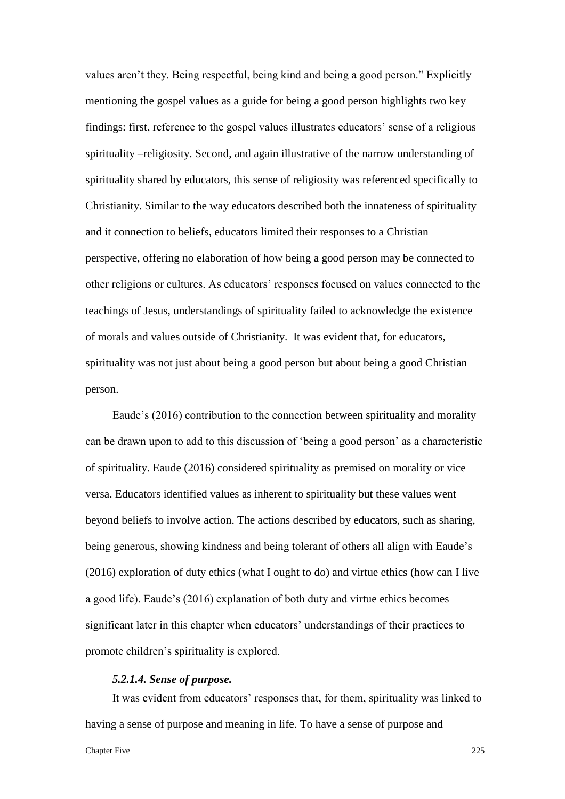values aren't they. Being respectful, being kind and being a good person." Explicitly mentioning the gospel values as a guide for being a good person highlights two key findings: first, reference to the gospel values illustrates educators' sense of a religious spirituality –religiosity. Second, and again illustrative of the narrow understanding of spirituality shared by educators, this sense of religiosity was referenced specifically to Christianity. Similar to the way educators described both the innateness of spirituality and it connection to beliefs, educators limited their responses to a Christian perspective, offering no elaboration of how being a good person may be connected to other religions or cultures. As educators' responses focused on values connected to the teachings of Jesus, understandings of spirituality failed to acknowledge the existence of morals and values outside of Christianity. It was evident that, for educators, spirituality was not just about being a good person but about being a good Christian person.

Eaude's (2016) contribution to the connection between spirituality and morality can be drawn upon to add to this discussion of 'being a good person' as a characteristic of spirituality. Eaude (2016) considered spirituality as premised on morality or vice versa. Educators identified values as inherent to spirituality but these values went beyond beliefs to involve action. The actions described by educators, such as sharing, being generous, showing kindness and being tolerant of others all align with Eaude's (2016) exploration of duty ethics (what I ought to do) and virtue ethics (how can I live a good life). Eaude's (2016) explanation of both duty and virtue ethics becomes significant later in this chapter when educators' understandings of their practices to promote children's spirituality is explored.

# *5.2.1.4. Sense of purpose.*

It was evident from educators' responses that, for them, spirituality was linked to having a sense of purpose and meaning in life. To have a sense of purpose and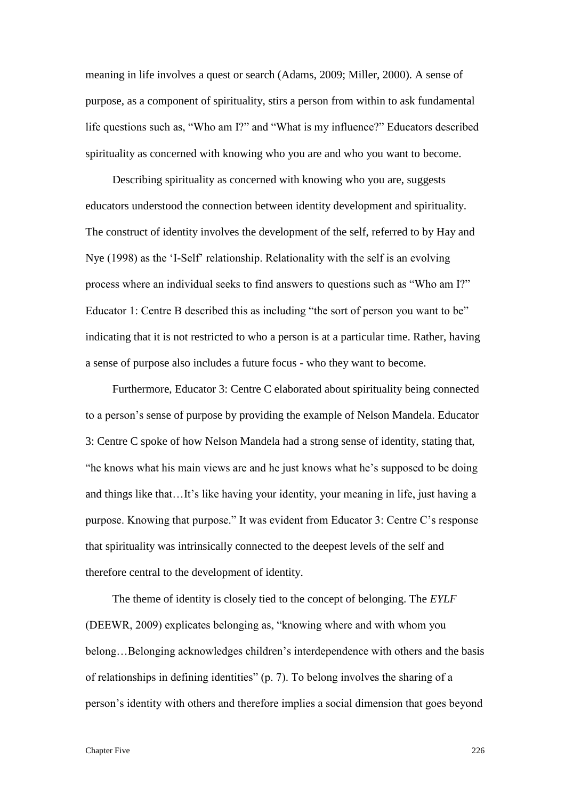meaning in life involves a quest or search (Adams, 2009; Miller, 2000). A sense of purpose, as a component of spirituality, stirs a person from within to ask fundamental life questions such as, "Who am I?" and "What is my influence?" Educators described spirituality as concerned with knowing who you are and who you want to become.

Describing spirituality as concerned with knowing who you are, suggests educators understood the connection between identity development and spirituality. The construct of identity involves the development of the self, referred to by Hay and Nye (1998) as the 'I-Self' relationship. Relationality with the self is an evolving process where an individual seeks to find answers to questions such as "Who am I?" Educator 1: Centre B described this as including "the sort of person you want to be" indicating that it is not restricted to who a person is at a particular time. Rather, having a sense of purpose also includes a future focus - who they want to become.

Furthermore, Educator 3: Centre C elaborated about spirituality being connected to a person's sense of purpose by providing the example of Nelson Mandela. Educator 3: Centre C spoke of how Nelson Mandela had a strong sense of identity, stating that, "he knows what his main views are and he just knows what he's supposed to be doing and things like that…It's like having your identity, your meaning in life, just having a purpose. Knowing that purpose." It was evident from Educator 3: Centre C's response that spirituality was intrinsically connected to the deepest levels of the self and therefore central to the development of identity.

The theme of identity is closely tied to the concept of belonging. The *EYLF*  (DEEWR, 2009) explicates belonging as, "knowing where and with whom you belong…Belonging acknowledges children's interdependence with others and the basis of relationships in defining identities" (p. 7). To belong involves the sharing of a person's identity with others and therefore implies a social dimension that goes beyond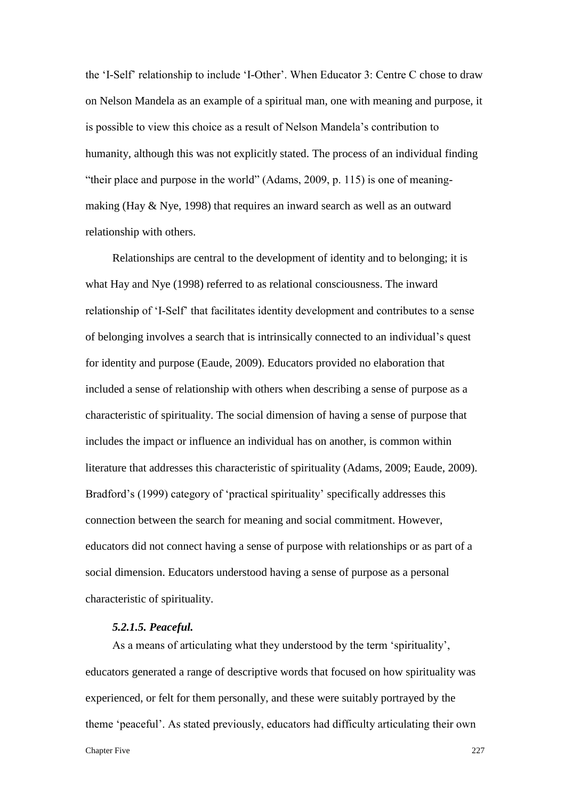the 'I-Self' relationship to include 'I-Other'. When Educator 3: Centre C chose to draw on Nelson Mandela as an example of a spiritual man, one with meaning and purpose, it is possible to view this choice as a result of Nelson Mandela's contribution to humanity, although this was not explicitly stated. The process of an individual finding "their place and purpose in the world" (Adams, 2009, p. 115) is one of meaningmaking (Hay & Nye, 1998) that requires an inward search as well as an outward relationship with others.

Relationships are central to the development of identity and to belonging; it is what Hay and Nye (1998) referred to as relational consciousness. The inward relationship of 'I-Self' that facilitates identity development and contributes to a sense of belonging involves a search that is intrinsically connected to an individual's quest for identity and purpose (Eaude, 2009). Educators provided no elaboration that included a sense of relationship with others when describing a sense of purpose as a characteristic of spirituality. The social dimension of having a sense of purpose that includes the impact or influence an individual has on another, is common within literature that addresses this characteristic of spirituality (Adams, 2009; Eaude, 2009). Bradford's (1999) category of 'practical spirituality' specifically addresses this connection between the search for meaning and social commitment. However, educators did not connect having a sense of purpose with relationships or as part of a social dimension. Educators understood having a sense of purpose as a personal characteristic of spirituality.

### *5.2.1.5. Peaceful.*

As a means of articulating what they understood by the term 'spirituality', educators generated a range of descriptive words that focused on how spirituality was experienced, or felt for them personally, and these were suitably portrayed by the theme 'peaceful'. As stated previously, educators had difficulty articulating their own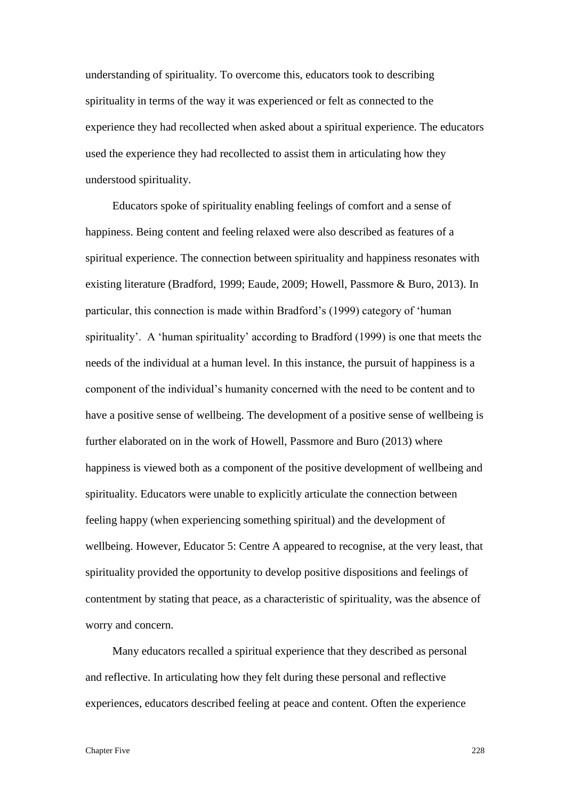understanding of spirituality. To overcome this, educators took to describing spirituality in terms of the way it was experienced or felt as connected to the experience they had recollected when asked about a spiritual experience. The educators used the experience they had recollected to assist them in articulating how they understood spirituality.

Educators spoke of spirituality enabling feelings of comfort and a sense of happiness. Being content and feeling relaxed were also described as features of a spiritual experience. The connection between spirituality and happiness resonates with existing literature (Bradford, 1999; Eaude, 2009; Howell, Passmore & Buro, 2013). In particular, this connection is made within Bradford's (1999) category of 'human spirituality'. A 'human spirituality' according to Bradford (1999) is one that meets the needs of the individual at a human level. In this instance, the pursuit of happiness is a component of the individual's humanity concerned with the need to be content and to have a positive sense of wellbeing. The development of a positive sense of wellbeing is further elaborated on in the work of Howell, Passmore and Buro (2013) where happiness is viewed both as a component of the positive development of wellbeing and spirituality. Educators were unable to explicitly articulate the connection between feeling happy (when experiencing something spiritual) and the development of wellbeing. However, Educator 5: Centre A appeared to recognise, at the very least, that spirituality provided the opportunity to develop positive dispositions and feelings of contentment by stating that peace, as a characteristic of spirituality, was the absence of worry and concern.

Many educators recalled a spiritual experience that they described as personal and reflective. In articulating how they felt during these personal and reflective experiences, educators described feeling at peace and content. Often the experience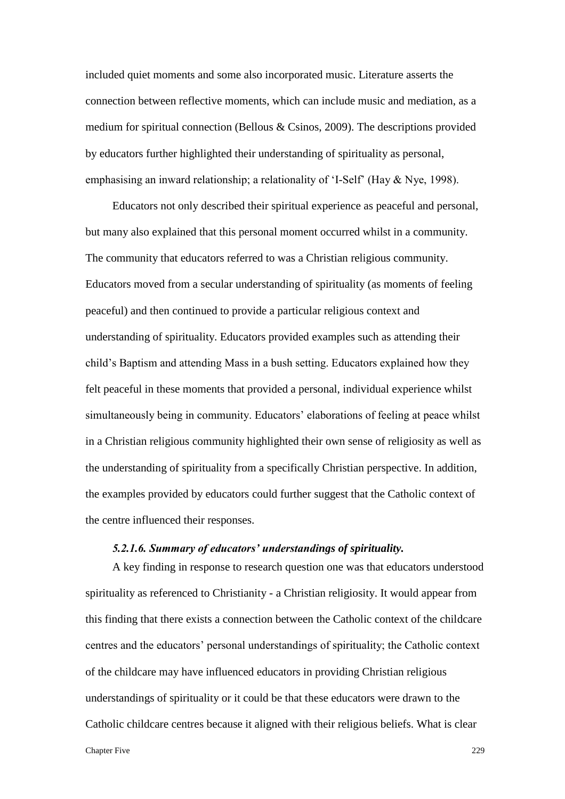included quiet moments and some also incorporated music. Literature asserts the connection between reflective moments, which can include music and mediation, as a medium for spiritual connection (Bellous & Csinos, 2009). The descriptions provided by educators further highlighted their understanding of spirituality as personal, emphasising an inward relationship; a relationality of 'I-Self' (Hay & Nye, 1998).

Educators not only described their spiritual experience as peaceful and personal, but many also explained that this personal moment occurred whilst in a community. The community that educators referred to was a Christian religious community. Educators moved from a secular understanding of spirituality (as moments of feeling peaceful) and then continued to provide a particular religious context and understanding of spirituality. Educators provided examples such as attending their child's Baptism and attending Mass in a bush setting. Educators explained how they felt peaceful in these moments that provided a personal, individual experience whilst simultaneously being in community. Educators' elaborations of feeling at peace whilst in a Christian religious community highlighted their own sense of religiosity as well as the understanding of spirituality from a specifically Christian perspective. In addition, the examples provided by educators could further suggest that the Catholic context of the centre influenced their responses.

## *5.2.1.6. Summary of educators' understandings of spirituality.*

A key finding in response to research question one was that educators understood spirituality as referenced to Christianity - a Christian religiosity. It would appear from this finding that there exists a connection between the Catholic context of the childcare centres and the educators' personal understandings of spirituality; the Catholic context of the childcare may have influenced educators in providing Christian religious understandings of spirituality or it could be that these educators were drawn to the Catholic childcare centres because it aligned with their religious beliefs. What is clear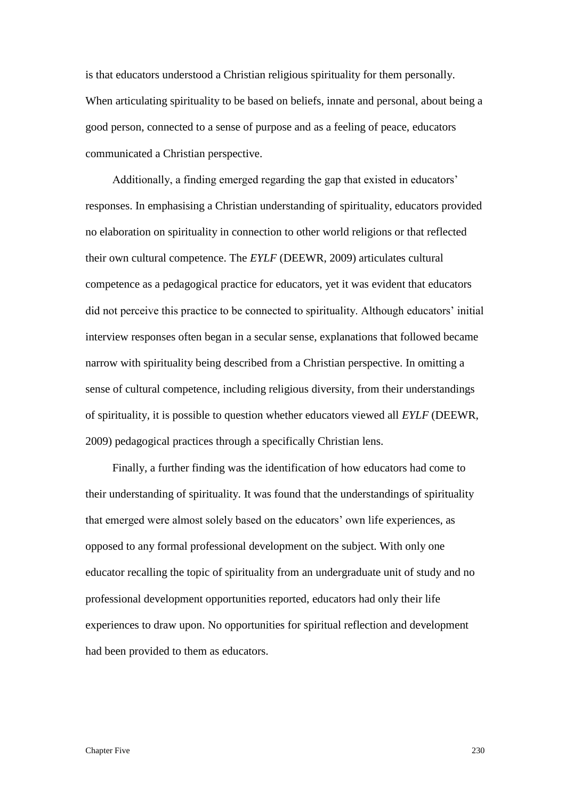is that educators understood a Christian religious spirituality for them personally. When articulating spirituality to be based on beliefs, innate and personal, about being a good person, connected to a sense of purpose and as a feeling of peace, educators communicated a Christian perspective.

Additionally, a finding emerged regarding the gap that existed in educators' responses. In emphasising a Christian understanding of spirituality, educators provided no elaboration on spirituality in connection to other world religions or that reflected their own cultural competence. The *EYLF* (DEEWR, 2009) articulates cultural competence as a pedagogical practice for educators, yet it was evident that educators did not perceive this practice to be connected to spirituality. Although educators' initial interview responses often began in a secular sense, explanations that followed became narrow with spirituality being described from a Christian perspective. In omitting a sense of cultural competence, including religious diversity, from their understandings of spirituality, it is possible to question whether educators viewed all *EYLF* (DEEWR, 2009) pedagogical practices through a specifically Christian lens.

Finally, a further finding was the identification of how educators had come to their understanding of spirituality. It was found that the understandings of spirituality that emerged were almost solely based on the educators' own life experiences, as opposed to any formal professional development on the subject. With only one educator recalling the topic of spirituality from an undergraduate unit of study and no professional development opportunities reported, educators had only their life experiences to draw upon. No opportunities for spiritual reflection and development had been provided to them as educators.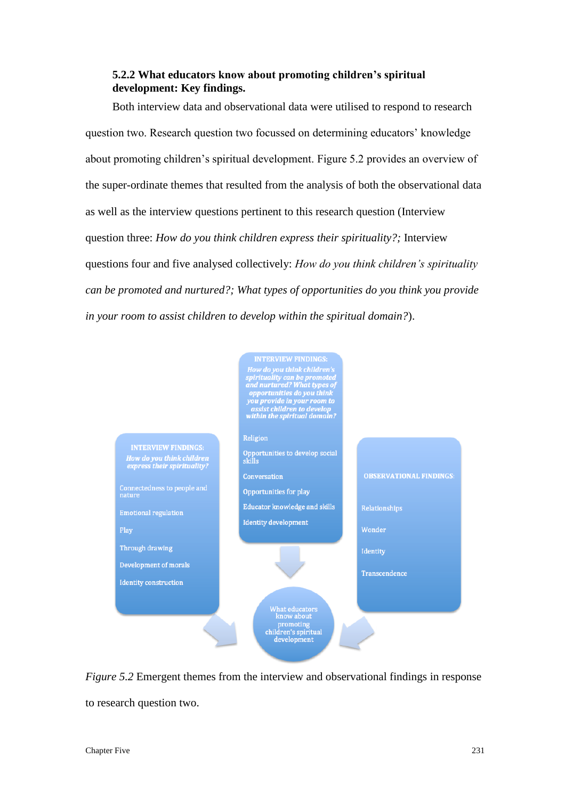# **5.2.2 What educators know about promoting children's spiritual development: Key findings.**

Both interview data and observational data were utilised to respond to research question two. Research question two focussed on determining educators' knowledge about promoting children's spiritual development. Figure 5.2 provides an overview of the super-ordinate themes that resulted from the analysis of both the observational data as well as the interview questions pertinent to this research question (Interview question three: *How do you think children express their spirituality?;* Interview questions four and five analysed collectively: *How do you think children's spirituality can be promoted and nurtured?; What types of opportunities do you think you provide in your room to assist children to develop within the spiritual domain?*).



*Figure 5.2* Emergent themes from the interview and observational findings in response to research question two.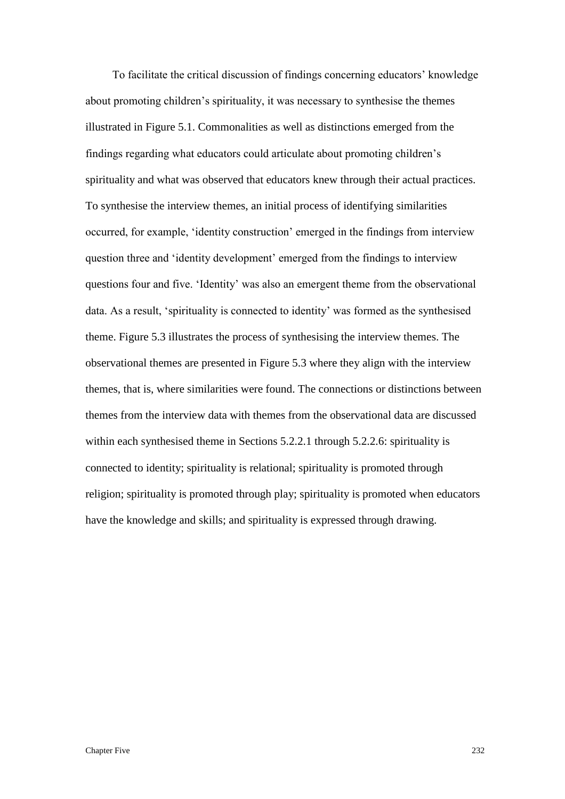To facilitate the critical discussion of findings concerning educators' knowledge about promoting children's spirituality, it was necessary to synthesise the themes illustrated in Figure 5.1. Commonalities as well as distinctions emerged from the findings regarding what educators could articulate about promoting children's spirituality and what was observed that educators knew through their actual practices. To synthesise the interview themes, an initial process of identifying similarities occurred, for example, 'identity construction' emerged in the findings from interview question three and 'identity development' emerged from the findings to interview questions four and five. 'Identity' was also an emergent theme from the observational data. As a result, 'spirituality is connected to identity' was formed as the synthesised theme. Figure 5.3 illustrates the process of synthesising the interview themes. The observational themes are presented in Figure 5.3 where they align with the interview themes, that is, where similarities were found. The connections or distinctions between themes from the interview data with themes from the observational data are discussed within each synthesised theme in Sections 5.2.2.1 through 5.2.2.6: spirituality is connected to identity; spirituality is relational; spirituality is promoted through religion; spirituality is promoted through play; spirituality is promoted when educators have the knowledge and skills; and spirituality is expressed through drawing.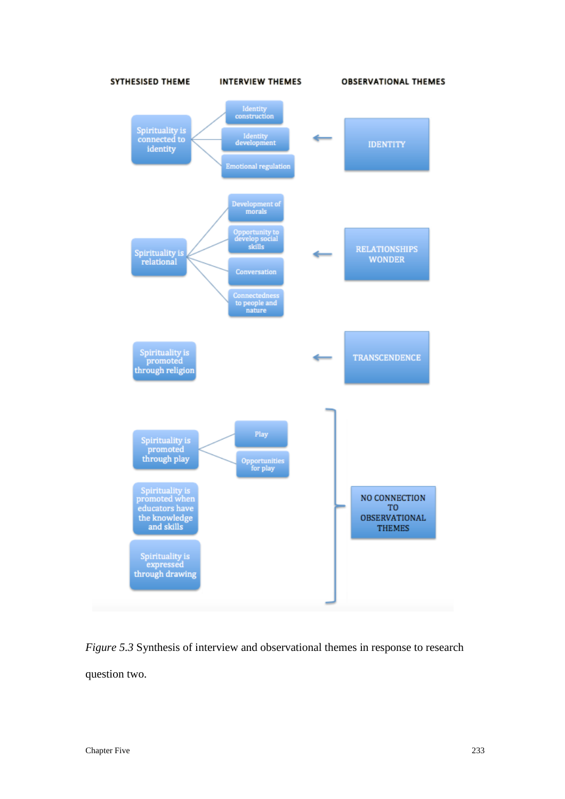

*Figure 5.3* Synthesis of interview and observational themes in response to research question two.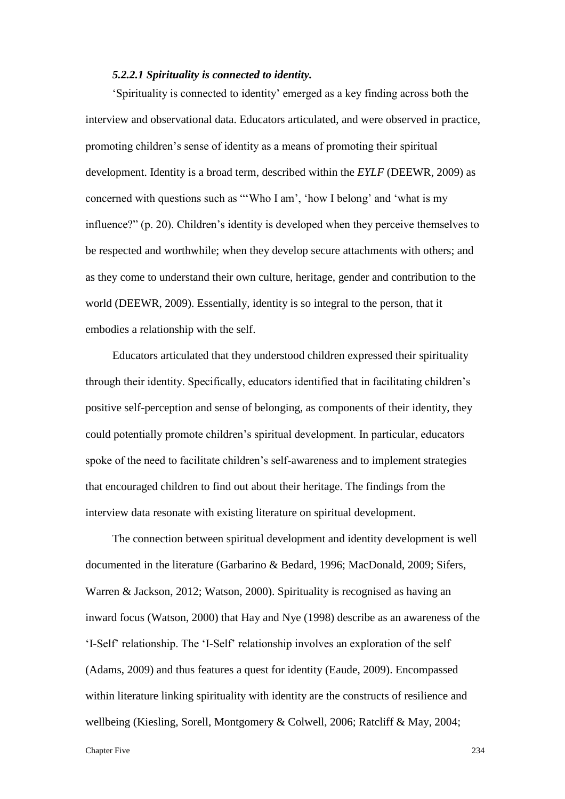### *5.2.2.1 Spirituality is connected to identity.*

'Spirituality is connected to identity' emerged as a key finding across both the interview and observational data. Educators articulated, and were observed in practice, promoting children's sense of identity as a means of promoting their spiritual development. Identity is a broad term, described within the *EYLF* (DEEWR, 2009) as concerned with questions such as "'Who I am', 'how I belong' and 'what is my influence?" (p. 20). Children's identity is developed when they perceive themselves to be respected and worthwhile; when they develop secure attachments with others; and as they come to understand their own culture, heritage, gender and contribution to the world (DEEWR, 2009). Essentially, identity is so integral to the person, that it embodies a relationship with the self.

Educators articulated that they understood children expressed their spirituality through their identity. Specifically, educators identified that in facilitating children's positive self-perception and sense of belonging, as components of their identity, they could potentially promote children's spiritual development. In particular, educators spoke of the need to facilitate children's self-awareness and to implement strategies that encouraged children to find out about their heritage. The findings from the interview data resonate with existing literature on spiritual development.

The connection between spiritual development and identity development is well documented in the literature (Garbarino & Bedard, 1996; MacDonald, 2009; Sifers, Warren & Jackson, 2012; Watson, 2000). Spirituality is recognised as having an inward focus (Watson, 2000) that Hay and Nye (1998) describe as an awareness of the 'I-Self' relationship. The 'I-Self' relationship involves an exploration of the self (Adams, 2009) and thus features a quest for identity (Eaude, 2009). Encompassed within literature linking spirituality with identity are the constructs of resilience and wellbeing (Kiesling, Sorell, Montgomery & Colwell, 2006; Ratcliff & May, 2004;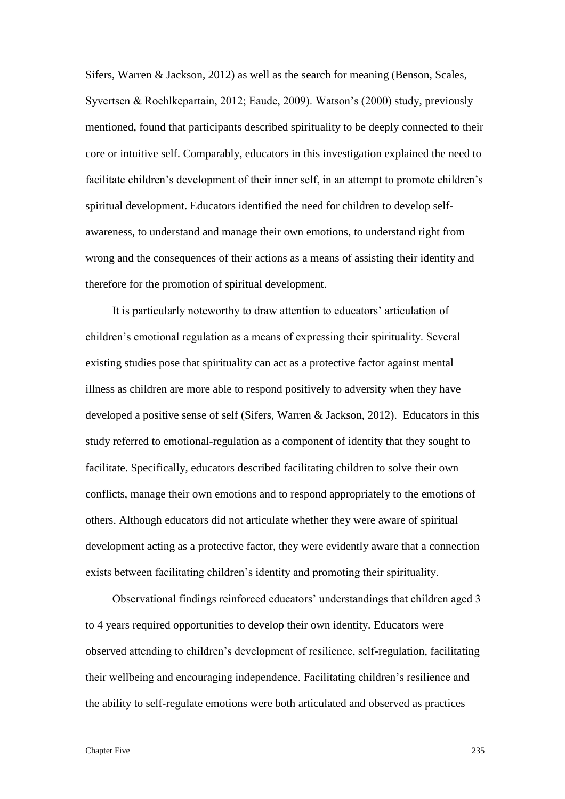Sifers, Warren & Jackson, 2012) as well as the search for meaning (Benson, Scales, Syvertsen & Roehlkepartain, 2012; Eaude, 2009). Watson's (2000) study, previously mentioned, found that participants described spirituality to be deeply connected to their core or intuitive self. Comparably, educators in this investigation explained the need to facilitate children's development of their inner self, in an attempt to promote children's spiritual development. Educators identified the need for children to develop selfawareness, to understand and manage their own emotions, to understand right from wrong and the consequences of their actions as a means of assisting their identity and therefore for the promotion of spiritual development.

It is particularly noteworthy to draw attention to educators' articulation of children's emotional regulation as a means of expressing their spirituality. Several existing studies pose that spirituality can act as a protective factor against mental illness as children are more able to respond positively to adversity when they have developed a positive sense of self (Sifers, Warren & Jackson, 2012). Educators in this study referred to emotional-regulation as a component of identity that they sought to facilitate. Specifically, educators described facilitating children to solve their own conflicts, manage their own emotions and to respond appropriately to the emotions of others. Although educators did not articulate whether they were aware of spiritual development acting as a protective factor, they were evidently aware that a connection exists between facilitating children's identity and promoting their spirituality.

Observational findings reinforced educators' understandings that children aged 3 to 4 years required opportunities to develop their own identity. Educators were observed attending to children's development of resilience, self-regulation, facilitating their wellbeing and encouraging independence. Facilitating children's resilience and the ability to self-regulate emotions were both articulated and observed as practices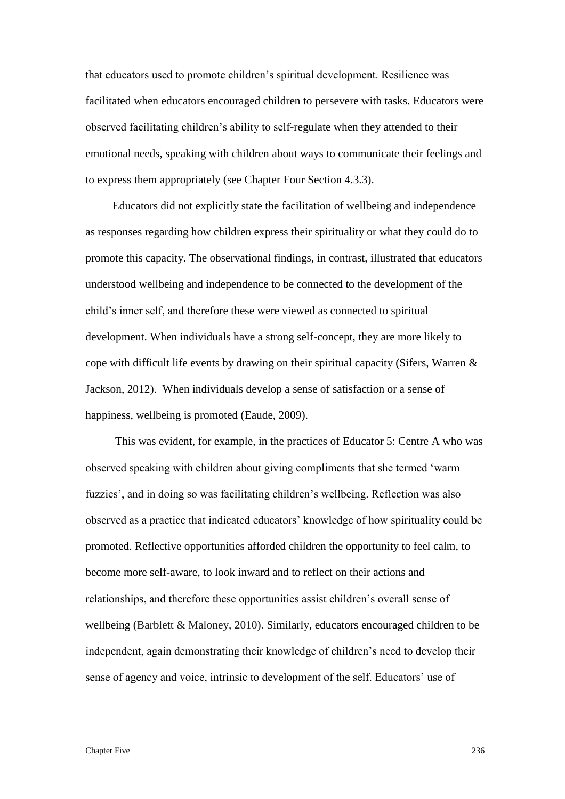that educators used to promote children's spiritual development. Resilience was facilitated when educators encouraged children to persevere with tasks. Educators were observed facilitating children's ability to self-regulate when they attended to their emotional needs, speaking with children about ways to communicate their feelings and to express them appropriately (see Chapter Four Section 4.3.3).

Educators did not explicitly state the facilitation of wellbeing and independence as responses regarding how children express their spirituality or what they could do to promote this capacity. The observational findings, in contrast, illustrated that educators understood wellbeing and independence to be connected to the development of the child's inner self, and therefore these were viewed as connected to spiritual development. When individuals have a strong self-concept, they are more likely to cope with difficult life events by drawing on their spiritual capacity (Sifers, Warren & Jackson, 2012). When individuals develop a sense of satisfaction or a sense of happiness, wellbeing is promoted (Eaude, 2009).

This was evident, for example, in the practices of Educator 5: Centre A who was observed speaking with children about giving compliments that she termed 'warm fuzzies', and in doing so was facilitating children's wellbeing. Reflection was also observed as a practice that indicated educators' knowledge of how spirituality could be promoted. Reflective opportunities afforded children the opportunity to feel calm, to become more self-aware, to look inward and to reflect on their actions and relationships, and therefore these opportunities assist children's overall sense of wellbeing (Barblett & Maloney, 2010). Similarly, educators encouraged children to be independent, again demonstrating their knowledge of children's need to develop their sense of agency and voice, intrinsic to development of the self. Educators' use of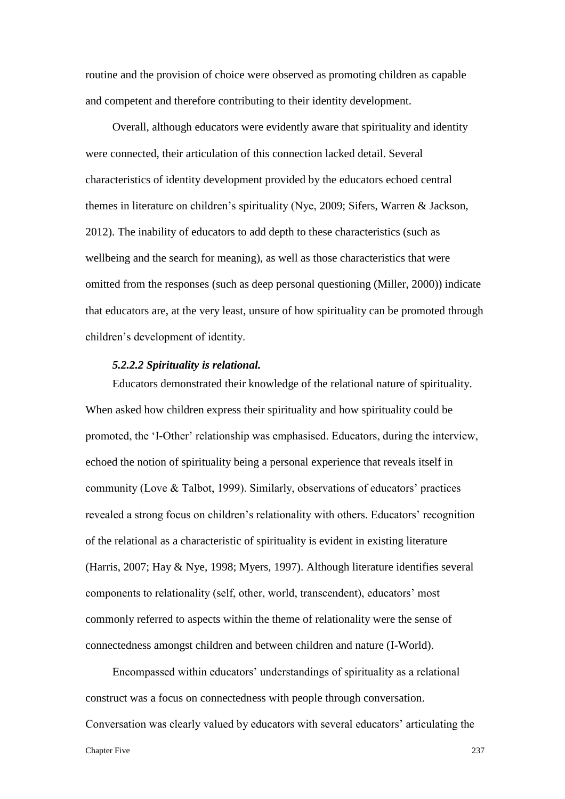routine and the provision of choice were observed as promoting children as capable and competent and therefore contributing to their identity development.

Overall, although educators were evidently aware that spirituality and identity were connected, their articulation of this connection lacked detail. Several characteristics of identity development provided by the educators echoed central themes in literature on children's spirituality (Nye, 2009; Sifers, Warren & Jackson, 2012). The inability of educators to add depth to these characteristics (such as wellbeing and the search for meaning), as well as those characteristics that were omitted from the responses (such as deep personal questioning (Miller, 2000)) indicate that educators are, at the very least, unsure of how spirituality can be promoted through children's development of identity.

### *5.2.2.2 Spirituality is relational.*

Educators demonstrated their knowledge of the relational nature of spirituality. When asked how children express their spirituality and how spirituality could be promoted, the 'I-Other' relationship was emphasised. Educators, during the interview, echoed the notion of spirituality being a personal experience that reveals itself in community (Love & Talbot, 1999). Similarly, observations of educators' practices revealed a strong focus on children's relationality with others. Educators' recognition of the relational as a characteristic of spirituality is evident in existing literature (Harris, 2007; Hay & Nye, 1998; Myers, 1997). Although literature identifies several components to relationality (self, other, world, transcendent), educators' most commonly referred to aspects within the theme of relationality were the sense of connectedness amongst children and between children and nature (I-World).

Encompassed within educators' understandings of spirituality as a relational construct was a focus on connectedness with people through conversation. Conversation was clearly valued by educators with several educators' articulating the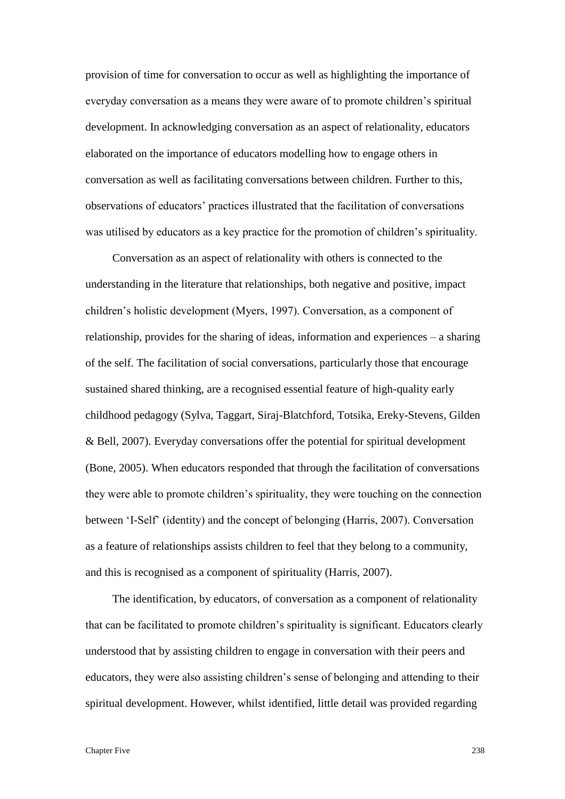provision of time for conversation to occur as well as highlighting the importance of everyday conversation as a means they were aware of to promote children's spiritual development. In acknowledging conversation as an aspect of relationality, educators elaborated on the importance of educators modelling how to engage others in conversation as well as facilitating conversations between children. Further to this, observations of educators' practices illustrated that the facilitation of conversations was utilised by educators as a key practice for the promotion of children's spirituality.

Conversation as an aspect of relationality with others is connected to the understanding in the literature that relationships, both negative and positive, impact children's holistic development (Myers, 1997). Conversation, as a component of relationship, provides for the sharing of ideas, information and experiences – a sharing of the self. The facilitation of social conversations, particularly those that encourage sustained shared thinking, are a recognised essential feature of high-quality early childhood pedagogy (Sylva, Taggart, Siraj-Blatchford, Totsika, Ereky-Stevens, Gilden & Bell, 2007). Everyday conversations offer the potential for spiritual development (Bone, 2005). When educators responded that through the facilitation of conversations they were able to promote children's spirituality, they were touching on the connection between 'I-Self' (identity) and the concept of belonging (Harris, 2007). Conversation as a feature of relationships assists children to feel that they belong to a community, and this is recognised as a component of spirituality (Harris, 2007).

The identification, by educators, of conversation as a component of relationality that can be facilitated to promote children's spirituality is significant. Educators clearly understood that by assisting children to engage in conversation with their peers and educators, they were also assisting children's sense of belonging and attending to their spiritual development. However, whilst identified, little detail was provided regarding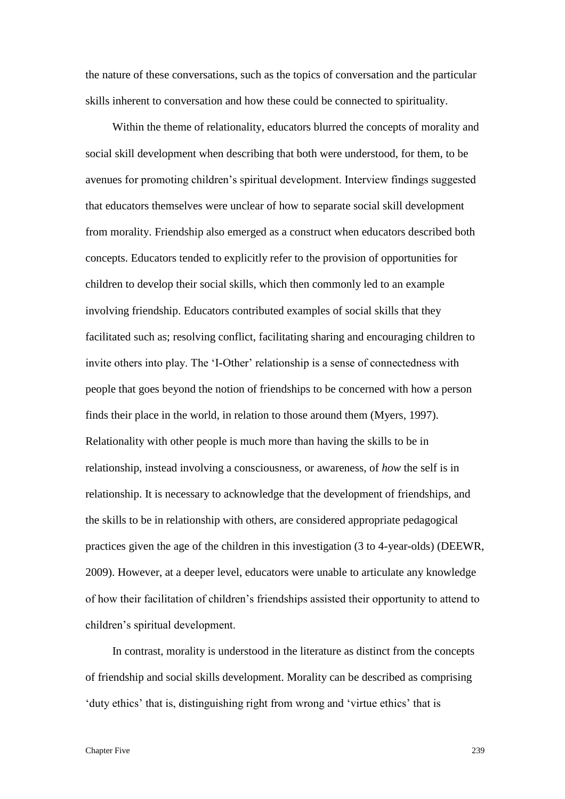the nature of these conversations, such as the topics of conversation and the particular skills inherent to conversation and how these could be connected to spirituality.

Within the theme of relationality, educators blurred the concepts of morality and social skill development when describing that both were understood, for them, to be avenues for promoting children's spiritual development. Interview findings suggested that educators themselves were unclear of how to separate social skill development from morality. Friendship also emerged as a construct when educators described both concepts. Educators tended to explicitly refer to the provision of opportunities for children to develop their social skills, which then commonly led to an example involving friendship. Educators contributed examples of social skills that they facilitated such as; resolving conflict, facilitating sharing and encouraging children to invite others into play. The 'I-Other' relationship is a sense of connectedness with people that goes beyond the notion of friendships to be concerned with how a person finds their place in the world, in relation to those around them (Myers, 1997). Relationality with other people is much more than having the skills to be in relationship, instead involving a consciousness, or awareness, of *how* the self is in relationship. It is necessary to acknowledge that the development of friendships, and the skills to be in relationship with others, are considered appropriate pedagogical practices given the age of the children in this investigation (3 to 4-year-olds) (DEEWR, 2009). However, at a deeper level, educators were unable to articulate any knowledge of how their facilitation of children's friendships assisted their opportunity to attend to children's spiritual development.

In contrast, morality is understood in the literature as distinct from the concepts of friendship and social skills development. Morality can be described as comprising 'duty ethics' that is, distinguishing right from wrong and 'virtue ethics' that is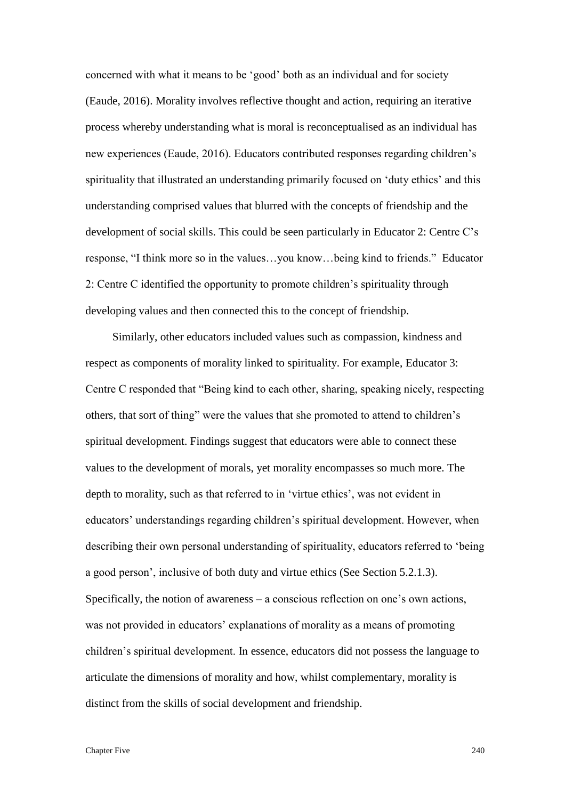concerned with what it means to be 'good' both as an individual and for society (Eaude, 2016). Morality involves reflective thought and action, requiring an iterative process whereby understanding what is moral is reconceptualised as an individual has new experiences (Eaude, 2016). Educators contributed responses regarding children's spirituality that illustrated an understanding primarily focused on 'duty ethics' and this understanding comprised values that blurred with the concepts of friendship and the development of social skills. This could be seen particularly in Educator 2: Centre C's response, "I think more so in the values…you know…being kind to friends." Educator 2: Centre C identified the opportunity to promote children's spirituality through developing values and then connected this to the concept of friendship.

Similarly, other educators included values such as compassion, kindness and respect as components of morality linked to spirituality. For example, Educator 3: Centre C responded that "Being kind to each other, sharing, speaking nicely, respecting others, that sort of thing" were the values that she promoted to attend to children's spiritual development. Findings suggest that educators were able to connect these values to the development of morals, yet morality encompasses so much more. The depth to morality, such as that referred to in 'virtue ethics', was not evident in educators' understandings regarding children's spiritual development. However, when describing their own personal understanding of spirituality, educators referred to 'being a good person', inclusive of both duty and virtue ethics (See Section 5.2.1.3). Specifically, the notion of awareness – a conscious reflection on one's own actions, was not provided in educators' explanations of morality as a means of promoting children's spiritual development. In essence, educators did not possess the language to articulate the dimensions of morality and how, whilst complementary, morality is distinct from the skills of social development and friendship.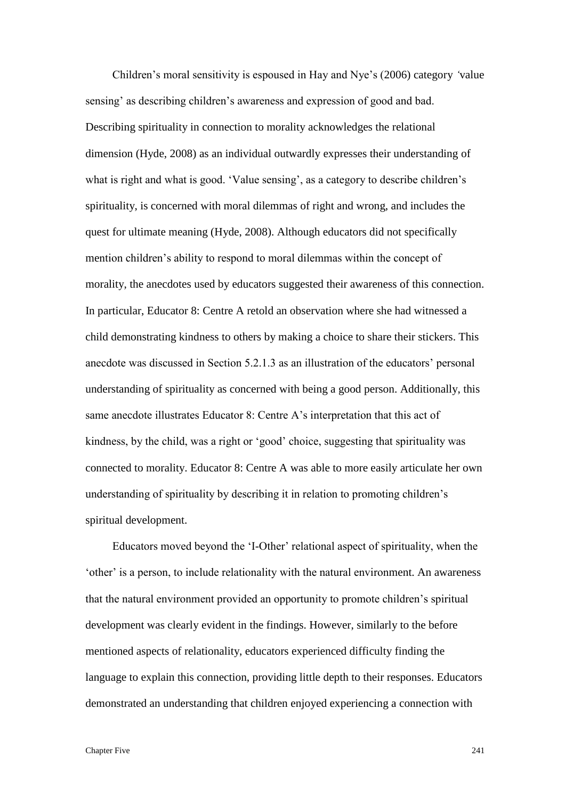Children's moral sensitivity is espoused in Hay and Nye's (2006) category *'*value sensing' as describing children's awareness and expression of good and bad. Describing spirituality in connection to morality acknowledges the relational dimension (Hyde, 2008) as an individual outwardly expresses their understanding of what is right and what is good. 'Value sensing', as a category to describe children's spirituality, is concerned with moral dilemmas of right and wrong, and includes the quest for ultimate meaning (Hyde, 2008). Although educators did not specifically mention children's ability to respond to moral dilemmas within the concept of morality, the anecdotes used by educators suggested their awareness of this connection. In particular, Educator 8: Centre A retold an observation where she had witnessed a child demonstrating kindness to others by making a choice to share their stickers. This anecdote was discussed in Section 5.2.1.3 as an illustration of the educators' personal understanding of spirituality as concerned with being a good person. Additionally, this same anecdote illustrates Educator 8: Centre A's interpretation that this act of kindness, by the child, was a right or 'good' choice, suggesting that spirituality was connected to morality. Educator 8: Centre A was able to more easily articulate her own understanding of spirituality by describing it in relation to promoting children's spiritual development.

Educators moved beyond the 'I-Other' relational aspect of spirituality, when the 'other' is a person, to include relationality with the natural environment. An awareness that the natural environment provided an opportunity to promote children's spiritual development was clearly evident in the findings. However, similarly to the before mentioned aspects of relationality, educators experienced difficulty finding the language to explain this connection, providing little depth to their responses. Educators demonstrated an understanding that children enjoyed experiencing a connection with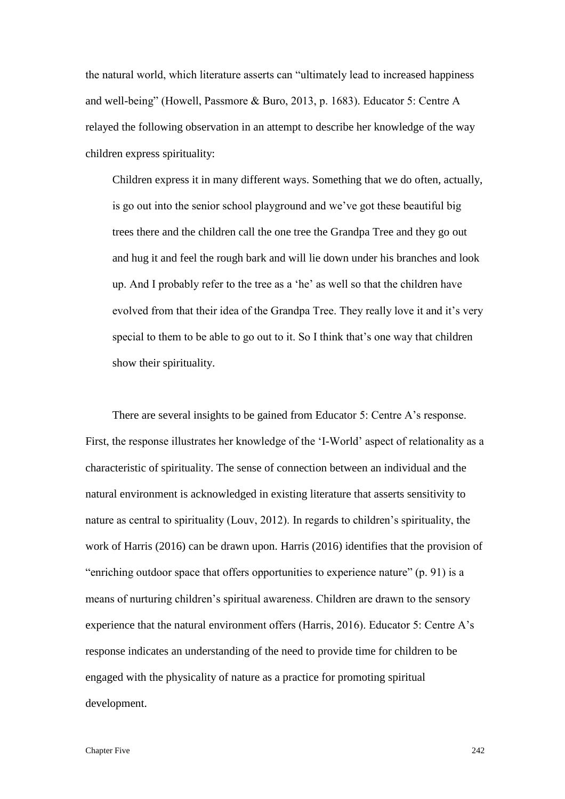the natural world, which literature asserts can "ultimately lead to increased happiness and well-being" (Howell, Passmore & Buro, 2013, p. 1683). Educator 5: Centre A relayed the following observation in an attempt to describe her knowledge of the way children express spirituality:

Children express it in many different ways. Something that we do often, actually, is go out into the senior school playground and we've got these beautiful big trees there and the children call the one tree the Grandpa Tree and they go out and hug it and feel the rough bark and will lie down under his branches and look up. And I probably refer to the tree as a 'he' as well so that the children have evolved from that their idea of the Grandpa Tree. They really love it and it's very special to them to be able to go out to it. So I think that's one way that children show their spirituality.

There are several insights to be gained from Educator 5: Centre A's response. First, the response illustrates her knowledge of the 'I-World' aspect of relationality as a characteristic of spirituality. The sense of connection between an individual and the natural environment is acknowledged in existing literature that asserts sensitivity to nature as central to spirituality (Louv, 2012). In regards to children's spirituality, the work of Harris (2016) can be drawn upon. Harris (2016) identifies that the provision of "enriching outdoor space that offers opportunities to experience nature" (p. 91) is a means of nurturing children's spiritual awareness. Children are drawn to the sensory experience that the natural environment offers (Harris, 2016). Educator 5: Centre A's response indicates an understanding of the need to provide time for children to be engaged with the physicality of nature as a practice for promoting spiritual development.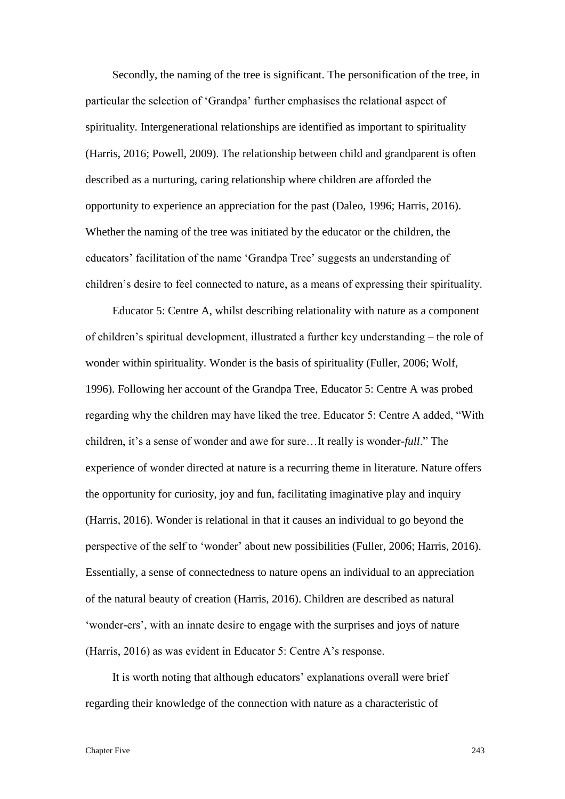Secondly, the naming of the tree is significant. The personification of the tree, in particular the selection of 'Grandpa' further emphasises the relational aspect of spirituality. Intergenerational relationships are identified as important to spirituality (Harris, 2016; Powell, 2009). The relationship between child and grandparent is often described as a nurturing, caring relationship where children are afforded the opportunity to experience an appreciation for the past (Daleo, 1996; Harris, 2016). Whether the naming of the tree was initiated by the educator or the children, the educators' facilitation of the name 'Grandpa Tree' suggests an understanding of children's desire to feel connected to nature, as a means of expressing their spirituality.

Educator 5: Centre A, whilst describing relationality with nature as a component of children's spiritual development, illustrated a further key understanding – the role of wonder within spirituality. Wonder is the basis of spirituality (Fuller, 2006; Wolf, 1996). Following her account of the Grandpa Tree, Educator 5: Centre A was probed regarding why the children may have liked the tree. Educator 5: Centre A added, "With children, it's a sense of wonder and awe for sure…It really is wonder-*full*." The experience of wonder directed at nature is a recurring theme in literature. Nature offers the opportunity for curiosity, joy and fun, facilitating imaginative play and inquiry (Harris, 2016). Wonder is relational in that it causes an individual to go beyond the perspective of the self to 'wonder' about new possibilities (Fuller, 2006; Harris, 2016). Essentially, a sense of connectedness to nature opens an individual to an appreciation of the natural beauty of creation (Harris, 2016). Children are described as natural 'wonder-ers', with an innate desire to engage with the surprises and joys of nature (Harris, 2016) as was evident in Educator 5: Centre A's response.

It is worth noting that although educators' explanations overall were brief regarding their knowledge of the connection with nature as a characteristic of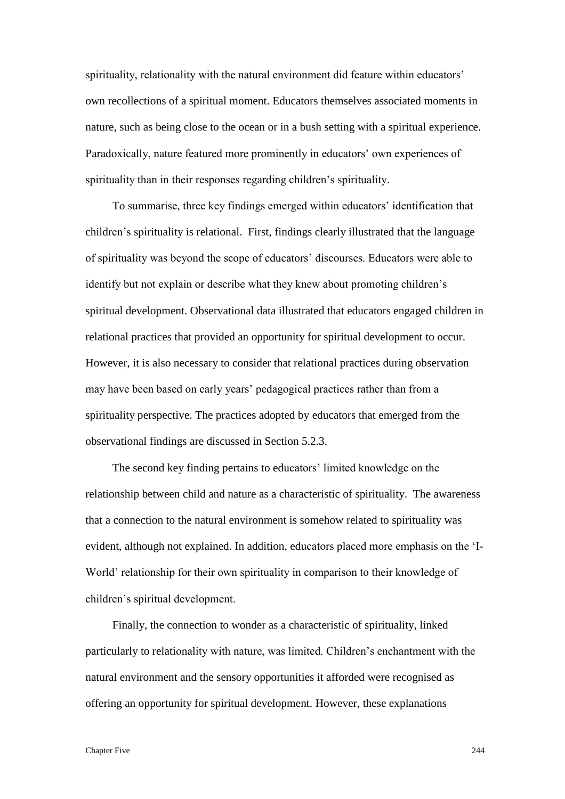spirituality, relationality with the natural environment did feature within educators' own recollections of a spiritual moment. Educators themselves associated moments in nature, such as being close to the ocean or in a bush setting with a spiritual experience. Paradoxically, nature featured more prominently in educators' own experiences of spirituality than in their responses regarding children's spirituality.

To summarise, three key findings emerged within educators' identification that children's spirituality is relational. First, findings clearly illustrated that the language of spirituality was beyond the scope of educators' discourses. Educators were able to identify but not explain or describe what they knew about promoting children's spiritual development. Observational data illustrated that educators engaged children in relational practices that provided an opportunity for spiritual development to occur. However, it is also necessary to consider that relational practices during observation may have been based on early years' pedagogical practices rather than from a spirituality perspective. The practices adopted by educators that emerged from the observational findings are discussed in Section 5.2.3.

The second key finding pertains to educators' limited knowledge on the relationship between child and nature as a characteristic of spirituality. The awareness that a connection to the natural environment is somehow related to spirituality was evident, although not explained. In addition, educators placed more emphasis on the 'I-World' relationship for their own spirituality in comparison to their knowledge of children's spiritual development.

Finally, the connection to wonder as a characteristic of spirituality, linked particularly to relationality with nature, was limited. Children's enchantment with the natural environment and the sensory opportunities it afforded were recognised as offering an opportunity for spiritual development. However, these explanations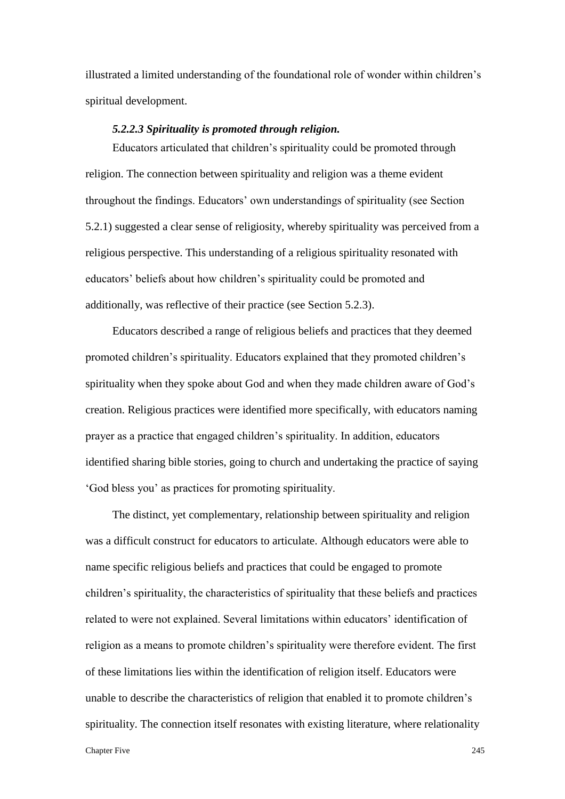illustrated a limited understanding of the foundational role of wonder within children's spiritual development.

### *5.2.2.3 Spirituality is promoted through religion.*

Educators articulated that children's spirituality could be promoted through religion. The connection between spirituality and religion was a theme evident throughout the findings. Educators' own understandings of spirituality (see Section 5.2.1) suggested a clear sense of religiosity, whereby spirituality was perceived from a religious perspective. This understanding of a religious spirituality resonated with educators' beliefs about how children's spirituality could be promoted and additionally, was reflective of their practice (see Section 5.2.3).

Educators described a range of religious beliefs and practices that they deemed promoted children's spirituality. Educators explained that they promoted children's spirituality when they spoke about God and when they made children aware of God's creation. Religious practices were identified more specifically, with educators naming prayer as a practice that engaged children's spirituality. In addition, educators identified sharing bible stories, going to church and undertaking the practice of saying 'God bless you' as practices for promoting spirituality.

The distinct, yet complementary, relationship between spirituality and religion was a difficult construct for educators to articulate. Although educators were able to name specific religious beliefs and practices that could be engaged to promote children's spirituality, the characteristics of spirituality that these beliefs and practices related to were not explained. Several limitations within educators' identification of religion as a means to promote children's spirituality were therefore evident. The first of these limitations lies within the identification of religion itself. Educators were unable to describe the characteristics of religion that enabled it to promote children's spirituality. The connection itself resonates with existing literature, where relationality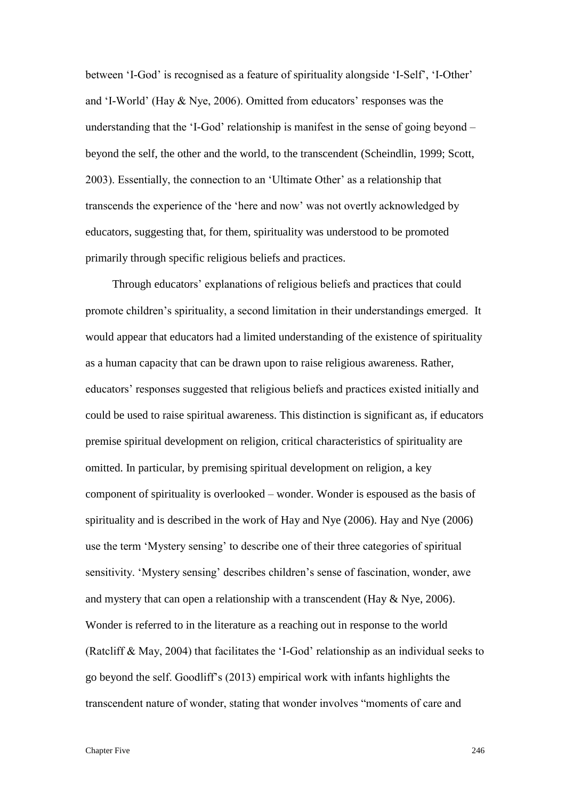between 'I-God' is recognised as a feature of spirituality alongside 'I-Self', 'I-Other' and 'I-World' (Hay & Nye, 2006). Omitted from educators' responses was the understanding that the 'I-God' relationship is manifest in the sense of going beyond – beyond the self, the other and the world, to the transcendent (Scheindlin, 1999; Scott, 2003). Essentially, the connection to an 'Ultimate Other' as a relationship that transcends the experience of the 'here and now' was not overtly acknowledged by educators, suggesting that, for them, spirituality was understood to be promoted primarily through specific religious beliefs and practices.

Through educators' explanations of religious beliefs and practices that could promote children's spirituality, a second limitation in their understandings emerged. It would appear that educators had a limited understanding of the existence of spirituality as a human capacity that can be drawn upon to raise religious awareness. Rather, educators' responses suggested that religious beliefs and practices existed initially and could be used to raise spiritual awareness. This distinction is significant as, if educators premise spiritual development on religion, critical characteristics of spirituality are omitted. In particular, by premising spiritual development on religion, a key component of spirituality is overlooked – wonder. Wonder is espoused as the basis of spirituality and is described in the work of Hay and Nye (2006). Hay and Nye (2006) use the term 'Mystery sensing' to describe one of their three categories of spiritual sensitivity. 'Mystery sensing' describes children's sense of fascination, wonder, awe and mystery that can open a relationship with a transcendent (Hay  $\&$  Nye, 2006). Wonder is referred to in the literature as a reaching out in response to the world (Ratcliff & May, 2004) that facilitates the 'I-God' relationship as an individual seeks to go beyond the self. Goodliff's (2013) empirical work with infants highlights the transcendent nature of wonder, stating that wonder involves "moments of care and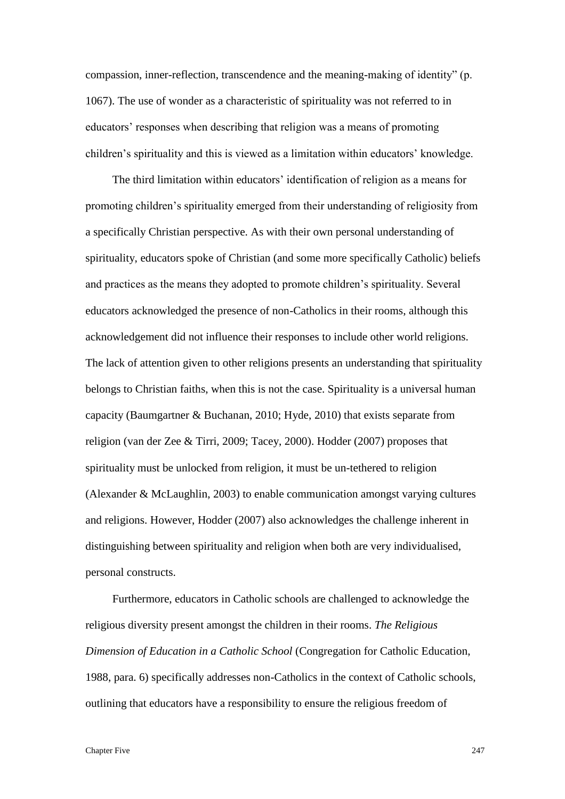compassion, inner-reflection, transcendence and the meaning-making of identity" (p. 1067). The use of wonder as a characteristic of spirituality was not referred to in educators' responses when describing that religion was a means of promoting children's spirituality and this is viewed as a limitation within educators' knowledge.

The third limitation within educators' identification of religion as a means for promoting children's spirituality emerged from their understanding of religiosity from a specifically Christian perspective. As with their own personal understanding of spirituality, educators spoke of Christian (and some more specifically Catholic) beliefs and practices as the means they adopted to promote children's spirituality. Several educators acknowledged the presence of non-Catholics in their rooms, although this acknowledgement did not influence their responses to include other world religions. The lack of attention given to other religions presents an understanding that spirituality belongs to Christian faiths, when this is not the case. Spirituality is a universal human capacity (Baumgartner & Buchanan, 2010; Hyde, 2010) that exists separate from religion (van der Zee & Tirri, 2009; Tacey, 2000). Hodder (2007) proposes that spirituality must be unlocked from religion, it must be un-tethered to religion (Alexander & McLaughlin, 2003) to enable communication amongst varying cultures and religions. However, Hodder (2007) also acknowledges the challenge inherent in distinguishing between spirituality and religion when both are very individualised, personal constructs.

Furthermore, educators in Catholic schools are challenged to acknowledge the religious diversity present amongst the children in their rooms. *The Religious Dimension of Education in a Catholic School* (Congregation for Catholic Education, 1988, para. 6) specifically addresses non-Catholics in the context of Catholic schools, outlining that educators have a responsibility to ensure the religious freedom of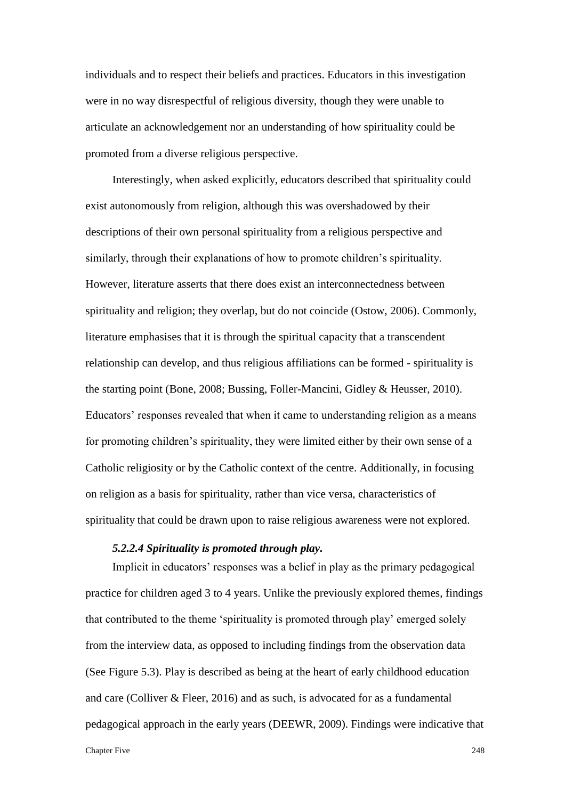individuals and to respect their beliefs and practices. Educators in this investigation were in no way disrespectful of religious diversity, though they were unable to articulate an acknowledgement nor an understanding of how spirituality could be promoted from a diverse religious perspective.

Interestingly, when asked explicitly, educators described that spirituality could exist autonomously from religion, although this was overshadowed by their descriptions of their own personal spirituality from a religious perspective and similarly, through their explanations of how to promote children's spirituality. However, literature asserts that there does exist an interconnectedness between spirituality and religion; they overlap, but do not coincide (Ostow, 2006). Commonly, literature emphasises that it is through the spiritual capacity that a transcendent relationship can develop, and thus religious affiliations can be formed - spirituality is the starting point (Bone, 2008; Bussing, Foller-Mancini, Gidley & Heusser, 2010). Educators' responses revealed that when it came to understanding religion as a means for promoting children's spirituality, they were limited either by their own sense of a Catholic religiosity or by the Catholic context of the centre. Additionally, in focusing on religion as a basis for spirituality, rather than vice versa, characteristics of spirituality that could be drawn upon to raise religious awareness were not explored.

## *5.2.2.4 Spirituality is promoted through play.*

Implicit in educators' responses was a belief in play as the primary pedagogical practice for children aged 3 to 4 years. Unlike the previously explored themes, findings that contributed to the theme 'spirituality is promoted through play' emerged solely from the interview data, as opposed to including findings from the observation data (See Figure 5.3). Play is described as being at the heart of early childhood education and care (Colliver & Fleer, 2016) and as such, is advocated for as a fundamental pedagogical approach in the early years (DEEWR, 2009). Findings were indicative that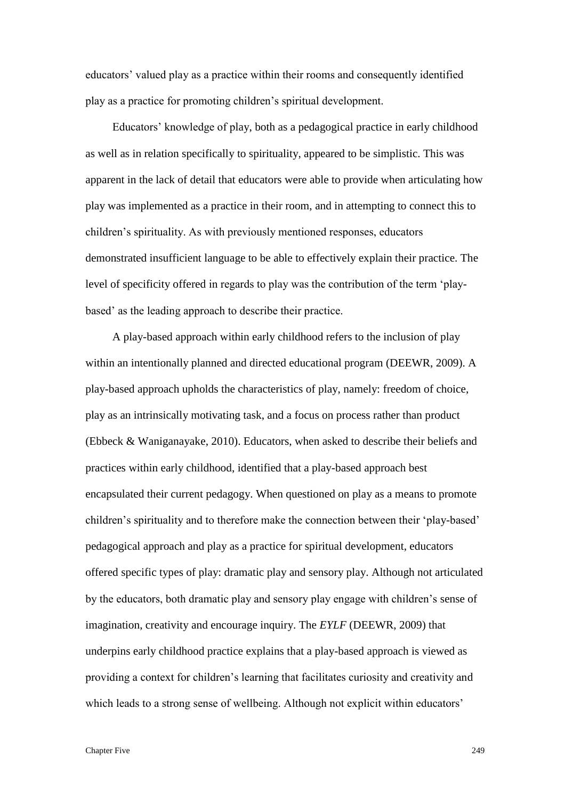educators' valued play as a practice within their rooms and consequently identified play as a practice for promoting children's spiritual development.

Educators' knowledge of play, both as a pedagogical practice in early childhood as well as in relation specifically to spirituality, appeared to be simplistic. This was apparent in the lack of detail that educators were able to provide when articulating how play was implemented as a practice in their room, and in attempting to connect this to children's spirituality. As with previously mentioned responses, educators demonstrated insufficient language to be able to effectively explain their practice. The level of specificity offered in regards to play was the contribution of the term 'playbased' as the leading approach to describe their practice.

A play-based approach within early childhood refers to the inclusion of play within an intentionally planned and directed educational program (DEEWR, 2009). A play-based approach upholds the characteristics of play, namely: freedom of choice, play as an intrinsically motivating task, and a focus on process rather than product (Ebbeck & Waniganayake, 2010). Educators, when asked to describe their beliefs and practices within early childhood, identified that a play-based approach best encapsulated their current pedagogy. When questioned on play as a means to promote children's spirituality and to therefore make the connection between their 'play-based' pedagogical approach and play as a practice for spiritual development, educators offered specific types of play: dramatic play and sensory play. Although not articulated by the educators, both dramatic play and sensory play engage with children's sense of imagination, creativity and encourage inquiry. The *EYLF* (DEEWR, 2009) that underpins early childhood practice explains that a play-based approach is viewed as providing a context for children's learning that facilitates curiosity and creativity and which leads to a strong sense of wellbeing. Although not explicit within educators'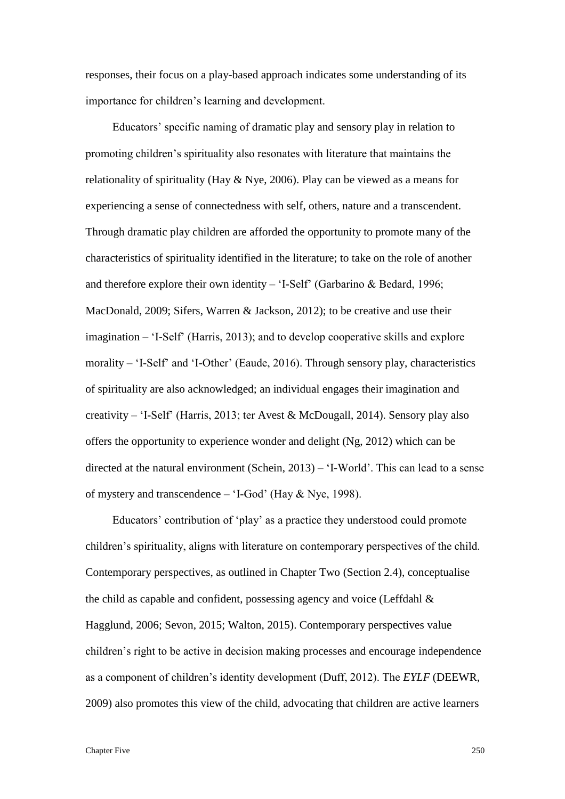responses, their focus on a play-based approach indicates some understanding of its importance for children's learning and development.

Educators' specific naming of dramatic play and sensory play in relation to promoting children's spirituality also resonates with literature that maintains the relationality of spirituality (Hay & Nye, 2006). Play can be viewed as a means for experiencing a sense of connectedness with self, others, nature and a transcendent. Through dramatic play children are afforded the opportunity to promote many of the characteristics of spirituality identified in the literature; to take on the role of another and therefore explore their own identity – 'I-Self' (Garbarino & Bedard, 1996; MacDonald, 2009; Sifers, Warren & Jackson, 2012); to be creative and use their imagination – 'I-Self' (Harris, 2013); and to develop cooperative skills and explore morality – 'I-Self' and 'I-Other' (Eaude, 2016). Through sensory play, characteristics of spirituality are also acknowledged; an individual engages their imagination and creativity – 'I-Self' (Harris, 2013; ter Avest & McDougall, 2014). Sensory play also offers the opportunity to experience wonder and delight (Ng, 2012) which can be directed at the natural environment (Schein, 2013) – 'I-World'. This can lead to a sense of mystery and transcendence – 'I-God' (Hay & Nye, 1998).

Educators' contribution of 'play' as a practice they understood could promote children's spirituality, aligns with literature on contemporary perspectives of the child. Contemporary perspectives, as outlined in Chapter Two (Section 2.4), conceptualise the child as capable and confident, possessing agency and voice (Leffdahl  $\&$ Hagglund, 2006; Sevon, 2015; Walton, 2015). Contemporary perspectives value children's right to be active in decision making processes and encourage independence as a component of children's identity development (Duff, 2012). The *EYLF* (DEEWR, 2009) also promotes this view of the child, advocating that children are active learners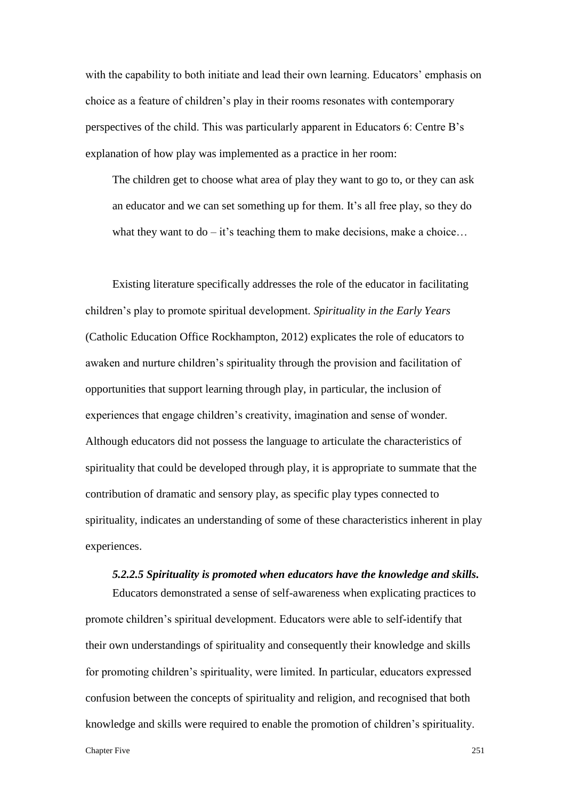with the capability to both initiate and lead their own learning. Educators' emphasis on choice as a feature of children's play in their rooms resonates with contemporary perspectives of the child. This was particularly apparent in Educators 6: Centre B's explanation of how play was implemented as a practice in her room:

The children get to choose what area of play they want to go to, or they can ask an educator and we can set something up for them. It's all free play, so they do what they want to  $do - it$ 's teaching them to make decisions, make a choice...

Existing literature specifically addresses the role of the educator in facilitating children's play to promote spiritual development. *Spirituality in the Early Years* (Catholic Education Office Rockhampton, 2012) explicates the role of educators to awaken and nurture children's spirituality through the provision and facilitation of opportunities that support learning through play, in particular, the inclusion of experiences that engage children's creativity, imagination and sense of wonder. Although educators did not possess the language to articulate the characteristics of spirituality that could be developed through play, it is appropriate to summate that the contribution of dramatic and sensory play, as specific play types connected to spirituality, indicates an understanding of some of these characteristics inherent in play experiences.

#### *5.2.2.5 Spirituality is promoted when educators have the knowledge and skills.*

Educators demonstrated a sense of self-awareness when explicating practices to promote children's spiritual development. Educators were able to self-identify that their own understandings of spirituality and consequently their knowledge and skills for promoting children's spirituality, were limited. In particular, educators expressed confusion between the concepts of spirituality and religion, and recognised that both knowledge and skills were required to enable the promotion of children's spirituality.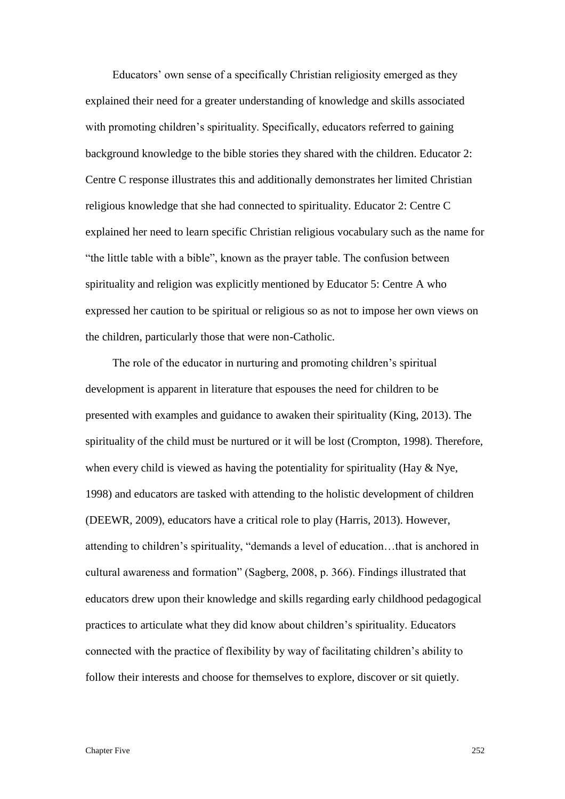Educators' own sense of a specifically Christian religiosity emerged as they explained their need for a greater understanding of knowledge and skills associated with promoting children's spirituality. Specifically, educators referred to gaining background knowledge to the bible stories they shared with the children. Educator 2: Centre C response illustrates this and additionally demonstrates her limited Christian religious knowledge that she had connected to spirituality. Educator 2: Centre C explained her need to learn specific Christian religious vocabulary such as the name for "the little table with a bible", known as the prayer table. The confusion between spirituality and religion was explicitly mentioned by Educator 5: Centre A who expressed her caution to be spiritual or religious so as not to impose her own views on the children, particularly those that were non-Catholic.

The role of the educator in nurturing and promoting children's spiritual development is apparent in literature that espouses the need for children to be presented with examples and guidance to awaken their spirituality (King, 2013). The spirituality of the child must be nurtured or it will be lost (Crompton, 1998). Therefore, when every child is viewed as having the potentiality for spirituality (Hay  $\&$  Nye, 1998) and educators are tasked with attending to the holistic development of children (DEEWR, 2009), educators have a critical role to play (Harris, 2013). However, attending to children's spirituality, "demands a level of education…that is anchored in cultural awareness and formation" (Sagberg, 2008, p. 366). Findings illustrated that educators drew upon their knowledge and skills regarding early childhood pedagogical practices to articulate what they did know about children's spirituality. Educators connected with the practice of flexibility by way of facilitating children's ability to follow their interests and choose for themselves to explore, discover or sit quietly.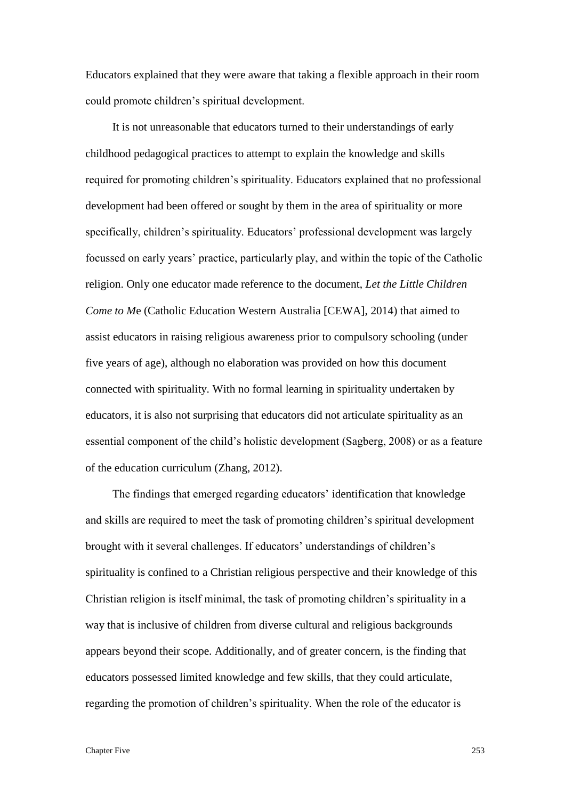Educators explained that they were aware that taking a flexible approach in their room could promote children's spiritual development.

It is not unreasonable that educators turned to their understandings of early childhood pedagogical practices to attempt to explain the knowledge and skills required for promoting children's spirituality. Educators explained that no professional development had been offered or sought by them in the area of spirituality or more specifically, children's spirituality. Educators' professional development was largely focussed on early years' practice, particularly play, and within the topic of the Catholic religion. Only one educator made reference to the document, *Let the Little Children Come to M*e (Catholic Education Western Australia [CEWA], 2014) that aimed to assist educators in raising religious awareness prior to compulsory schooling (under five years of age), although no elaboration was provided on how this document connected with spirituality. With no formal learning in spirituality undertaken by educators, it is also not surprising that educators did not articulate spirituality as an essential component of the child's holistic development (Sagberg, 2008) or as a feature of the education curriculum (Zhang, 2012).

The findings that emerged regarding educators' identification that knowledge and skills are required to meet the task of promoting children's spiritual development brought with it several challenges. If educators' understandings of children's spirituality is confined to a Christian religious perspective and their knowledge of this Christian religion is itself minimal, the task of promoting children's spirituality in a way that is inclusive of children from diverse cultural and religious backgrounds appears beyond their scope. Additionally, and of greater concern, is the finding that educators possessed limited knowledge and few skills, that they could articulate, regarding the promotion of children's spirituality. When the role of the educator is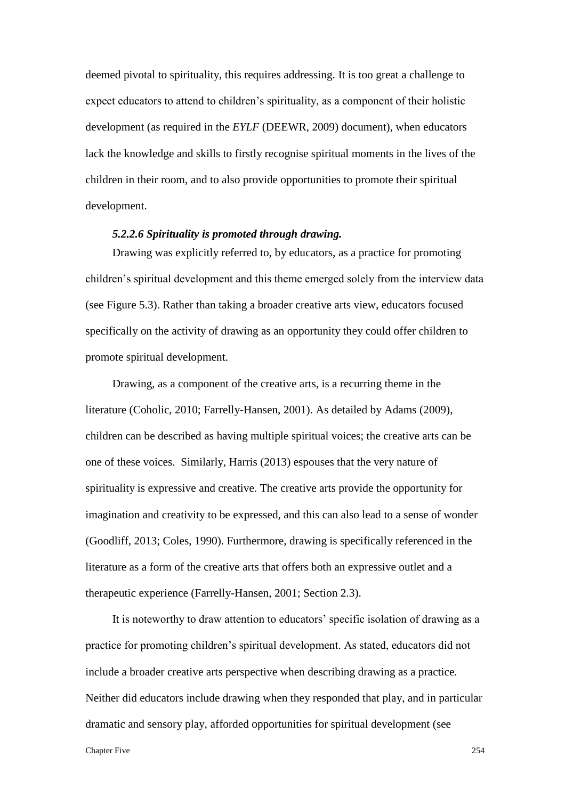deemed pivotal to spirituality, this requires addressing. It is too great a challenge to expect educators to attend to children's spirituality, as a component of their holistic development (as required in the *EYLF* (DEEWR, 2009) document), when educators lack the knowledge and skills to firstly recognise spiritual moments in the lives of the children in their room, and to also provide opportunities to promote their spiritual development.

### *5.2.2.6 Spirituality is promoted through drawing.*

Drawing was explicitly referred to, by educators, as a practice for promoting children's spiritual development and this theme emerged solely from the interview data (see Figure 5.3). Rather than taking a broader creative arts view, educators focused specifically on the activity of drawing as an opportunity they could offer children to promote spiritual development.

Drawing, as a component of the creative arts, is a recurring theme in the literature (Coholic, 2010; Farrelly-Hansen, 2001). As detailed by Adams (2009), children can be described as having multiple spiritual voices; the creative arts can be one of these voices. Similarly, Harris (2013) espouses that the very nature of spirituality is expressive and creative. The creative arts provide the opportunity for imagination and creativity to be expressed, and this can also lead to a sense of wonder (Goodliff, 2013; Coles, 1990). Furthermore, drawing is specifically referenced in the literature as a form of the creative arts that offers both an expressive outlet and a therapeutic experience (Farrelly-Hansen, 2001; Section 2.3).

It is noteworthy to draw attention to educators' specific isolation of drawing as a practice for promoting children's spiritual development. As stated, educators did not include a broader creative arts perspective when describing drawing as a practice. Neither did educators include drawing when they responded that play, and in particular dramatic and sensory play, afforded opportunities for spiritual development (see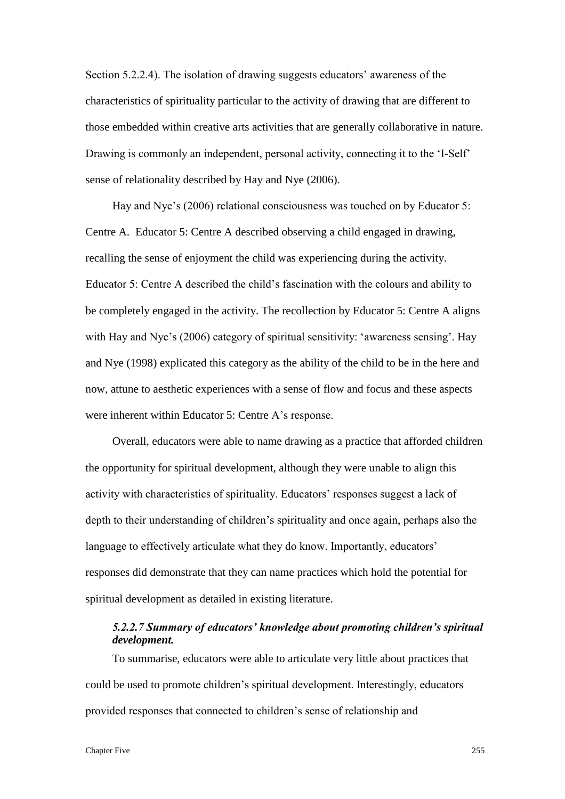Section 5.2.2.4). The isolation of drawing suggests educators' awareness of the characteristics of spirituality particular to the activity of drawing that are different to those embedded within creative arts activities that are generally collaborative in nature. Drawing is commonly an independent, personal activity, connecting it to the 'I-Self' sense of relationality described by Hay and Nye (2006).

Hay and Nye's (2006) relational consciousness was touched on by Educator 5: Centre A. Educator 5: Centre A described observing a child engaged in drawing, recalling the sense of enjoyment the child was experiencing during the activity. Educator 5: Centre A described the child's fascination with the colours and ability to be completely engaged in the activity. The recollection by Educator 5: Centre A aligns with Hay and Nye's (2006) category of spiritual sensitivity: 'awareness sensing'. Hay and Nye (1998) explicated this category as the ability of the child to be in the here and now, attune to aesthetic experiences with a sense of flow and focus and these aspects were inherent within Educator 5: Centre A's response.

Overall, educators were able to name drawing as a practice that afforded children the opportunity for spiritual development, although they were unable to align this activity with characteristics of spirituality. Educators' responses suggest a lack of depth to their understanding of children's spirituality and once again, perhaps also the language to effectively articulate what they do know. Importantly, educators' responses did demonstrate that they can name practices which hold the potential for spiritual development as detailed in existing literature.

# *5.2.2.7 Summary of educators' knowledge about promoting children's spiritual development.*

To summarise, educators were able to articulate very little about practices that could be used to promote children's spiritual development. Interestingly, educators provided responses that connected to children's sense of relationship and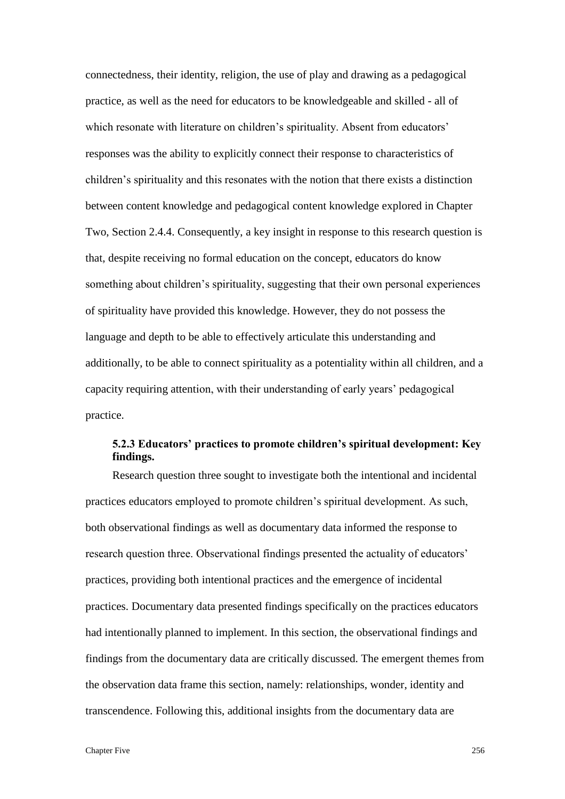connectedness, their identity, religion, the use of play and drawing as a pedagogical practice, as well as the need for educators to be knowledgeable and skilled - all of which resonate with literature on children's spirituality. Absent from educators' responses was the ability to explicitly connect their response to characteristics of children's spirituality and this resonates with the notion that there exists a distinction between content knowledge and pedagogical content knowledge explored in Chapter Two, Section 2.4.4. Consequently, a key insight in response to this research question is that, despite receiving no formal education on the concept, educators do know something about children's spirituality, suggesting that their own personal experiences of spirituality have provided this knowledge. However, they do not possess the language and depth to be able to effectively articulate this understanding and additionally, to be able to connect spirituality as a potentiality within all children, and a capacity requiring attention, with their understanding of early years' pedagogical practice.

## **5.2.3 Educators' practices to promote children's spiritual development: Key findings.**

Research question three sought to investigate both the intentional and incidental practices educators employed to promote children's spiritual development. As such, both observational findings as well as documentary data informed the response to research question three. Observational findings presented the actuality of educators' practices, providing both intentional practices and the emergence of incidental practices. Documentary data presented findings specifically on the practices educators had intentionally planned to implement. In this section, the observational findings and findings from the documentary data are critically discussed. The emergent themes from the observation data frame this section, namely: relationships, wonder, identity and transcendence. Following this, additional insights from the documentary data are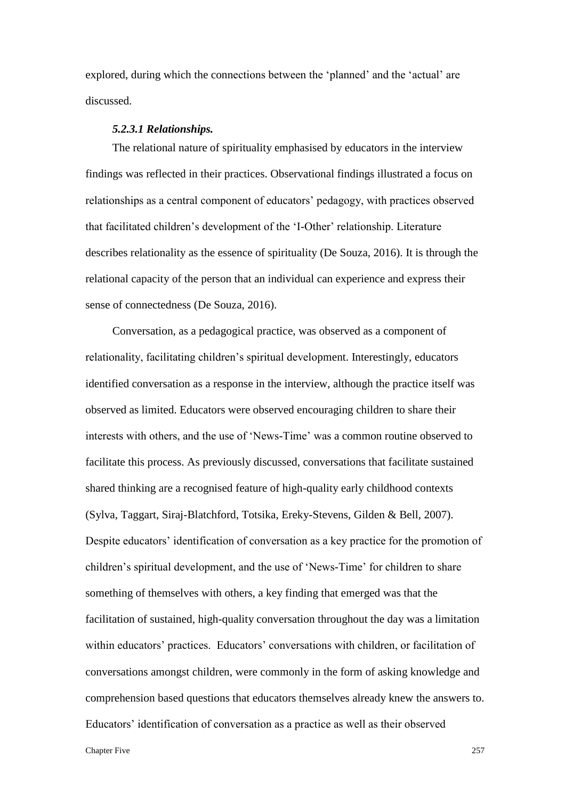explored, during which the connections between the 'planned' and the 'actual' are discussed.

### *5.2.3.1 Relationships.*

The relational nature of spirituality emphasised by educators in the interview findings was reflected in their practices. Observational findings illustrated a focus on relationships as a central component of educators' pedagogy, with practices observed that facilitated children's development of the 'I-Other' relationship. Literature describes relationality as the essence of spirituality (De Souza, 2016). It is through the relational capacity of the person that an individual can experience and express their sense of connectedness (De Souza, 2016).

Conversation, as a pedagogical practice, was observed as a component of relationality, facilitating children's spiritual development. Interestingly, educators identified conversation as a response in the interview, although the practice itself was observed as limited. Educators were observed encouraging children to share their interests with others, and the use of 'News-Time' was a common routine observed to facilitate this process. As previously discussed, conversations that facilitate sustained shared thinking are a recognised feature of high-quality early childhood contexts (Sylva, Taggart, Siraj-Blatchford, Totsika, Ereky-Stevens, Gilden & Bell, 2007). Despite educators' identification of conversation as a key practice for the promotion of children's spiritual development, and the use of 'News-Time' for children to share something of themselves with others, a key finding that emerged was that the facilitation of sustained, high-quality conversation throughout the day was a limitation within educators' practices. Educators' conversations with children, or facilitation of conversations amongst children, were commonly in the form of asking knowledge and comprehension based questions that educators themselves already knew the answers to. Educators' identification of conversation as a practice as well as their observed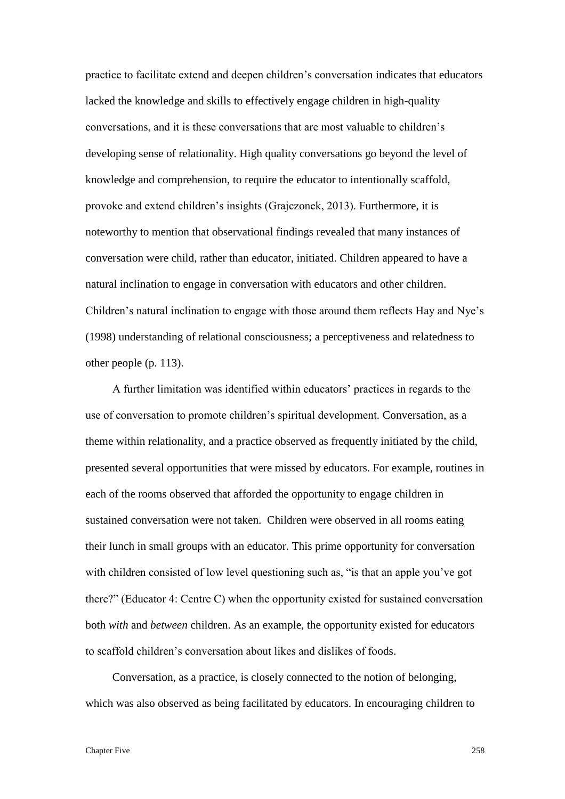practice to facilitate extend and deepen children's conversation indicates that educators lacked the knowledge and skills to effectively engage children in high-quality conversations, and it is these conversations that are most valuable to children's developing sense of relationality. High quality conversations go beyond the level of knowledge and comprehension, to require the educator to intentionally scaffold, provoke and extend children's insights (Grajczonek, 2013). Furthermore, it is noteworthy to mention that observational findings revealed that many instances of conversation were child, rather than educator, initiated. Children appeared to have a natural inclination to engage in conversation with educators and other children. Children's natural inclination to engage with those around them reflects Hay and Nye's (1998) understanding of relational consciousness; a perceptiveness and relatedness to other people (p. 113).

A further limitation was identified within educators' practices in regards to the use of conversation to promote children's spiritual development. Conversation, as a theme within relationality, and a practice observed as frequently initiated by the child, presented several opportunities that were missed by educators. For example, routines in each of the rooms observed that afforded the opportunity to engage children in sustained conversation were not taken. Children were observed in all rooms eating their lunch in small groups with an educator. This prime opportunity for conversation with children consisted of low level questioning such as, "is that an apple you've got there?" (Educator 4: Centre C) when the opportunity existed for sustained conversation both *with* and *between* children. As an example, the opportunity existed for educators to scaffold children's conversation about likes and dislikes of foods.

Conversation, as a practice, is closely connected to the notion of belonging, which was also observed as being facilitated by educators. In encouraging children to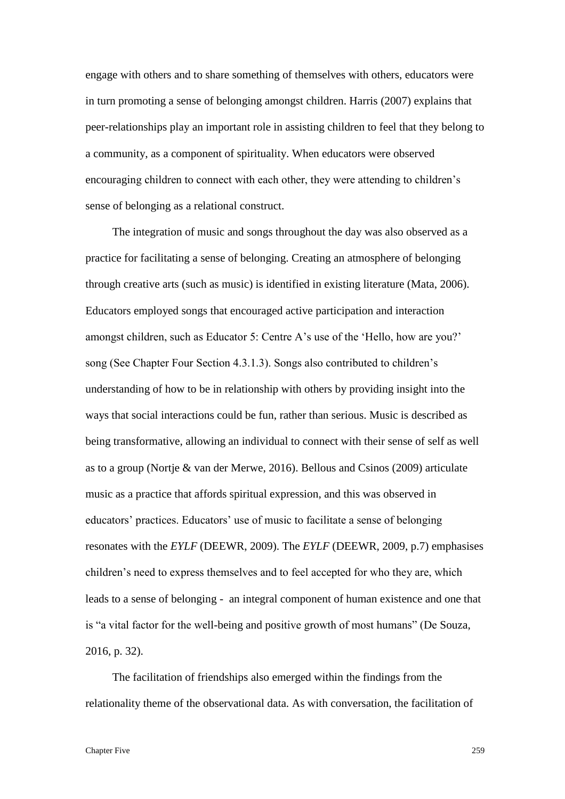engage with others and to share something of themselves with others, educators were in turn promoting a sense of belonging amongst children. Harris (2007) explains that peer-relationships play an important role in assisting children to feel that they belong to a community, as a component of spirituality. When educators were observed encouraging children to connect with each other, they were attending to children's sense of belonging as a relational construct.

The integration of music and songs throughout the day was also observed as a practice for facilitating a sense of belonging. Creating an atmosphere of belonging through creative arts (such as music) is identified in existing literature (Mata, 2006). Educators employed songs that encouraged active participation and interaction amongst children, such as Educator 5: Centre A's use of the 'Hello, how are you?' song (See Chapter Four Section 4.3.1.3). Songs also contributed to children's understanding of how to be in relationship with others by providing insight into the ways that social interactions could be fun, rather than serious. Music is described as being transformative, allowing an individual to connect with their sense of self as well as to a group (Nortje & van der Merwe, 2016). Bellous and Csinos (2009) articulate music as a practice that affords spiritual expression, and this was observed in educators' practices. Educators' use of music to facilitate a sense of belonging resonates with the *EYLF* (DEEWR, 2009). The *EYLF* (DEEWR, 2009, p.7) emphasises children's need to express themselves and to feel accepted for who they are, which leads to a sense of belonging - an integral component of human existence and one that is "a vital factor for the well-being and positive growth of most humans" (De Souza, 2016, p. 32).

The facilitation of friendships also emerged within the findings from the relationality theme of the observational data. As with conversation, the facilitation of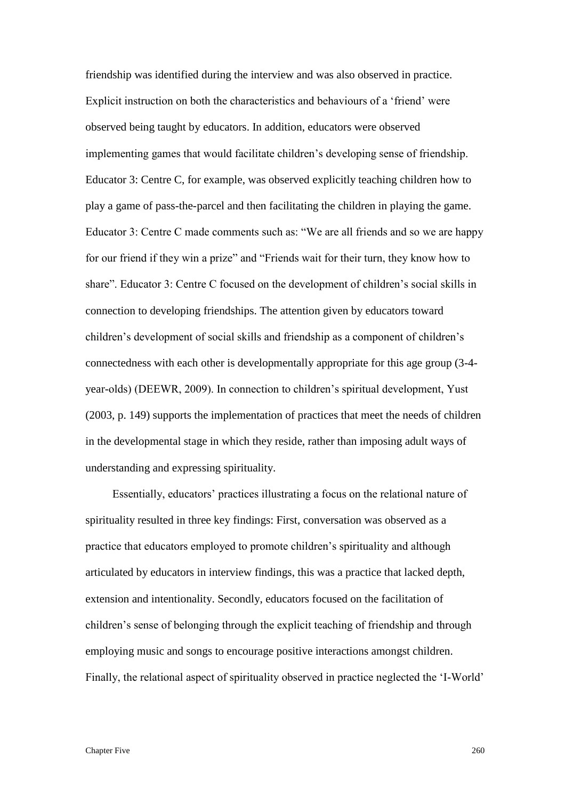friendship was identified during the interview and was also observed in practice. Explicit instruction on both the characteristics and behaviours of a 'friend' were observed being taught by educators. In addition, educators were observed implementing games that would facilitate children's developing sense of friendship. Educator 3: Centre C, for example, was observed explicitly teaching children how to play a game of pass-the-parcel and then facilitating the children in playing the game. Educator 3: Centre C made comments such as: "We are all friends and so we are happy for our friend if they win a prize" and "Friends wait for their turn, they know how to share". Educator 3: Centre C focused on the development of children's social skills in connection to developing friendships. The attention given by educators toward children's development of social skills and friendship as a component of children's connectedness with each other is developmentally appropriate for this age group (3-4 year-olds) (DEEWR, 2009). In connection to children's spiritual development, Yust (2003, p. 149) supports the implementation of practices that meet the needs of children in the developmental stage in which they reside, rather than imposing adult ways of understanding and expressing spirituality.

Essentially, educators' practices illustrating a focus on the relational nature of spirituality resulted in three key findings: First, conversation was observed as a practice that educators employed to promote children's spirituality and although articulated by educators in interview findings, this was a practice that lacked depth, extension and intentionality. Secondly, educators focused on the facilitation of children's sense of belonging through the explicit teaching of friendship and through employing music and songs to encourage positive interactions amongst children. Finally, the relational aspect of spirituality observed in practice neglected the 'I-World'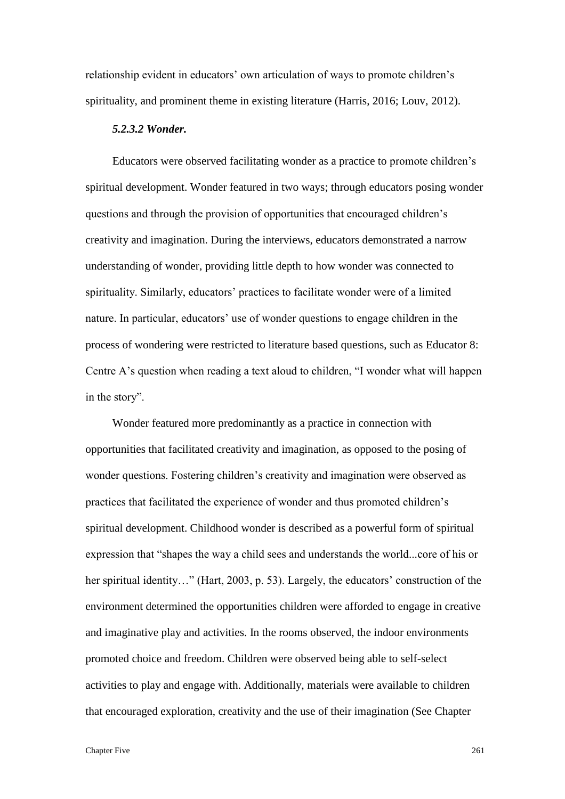relationship evident in educators' own articulation of ways to promote children's spirituality, and prominent theme in existing literature (Harris, 2016; Louv, 2012).

### *5.2.3.2 Wonder.*

Educators were observed facilitating wonder as a practice to promote children's spiritual development. Wonder featured in two ways; through educators posing wonder questions and through the provision of opportunities that encouraged children's creativity and imagination. During the interviews, educators demonstrated a narrow understanding of wonder, providing little depth to how wonder was connected to spirituality. Similarly, educators' practices to facilitate wonder were of a limited nature. In particular, educators' use of wonder questions to engage children in the process of wondering were restricted to literature based questions, such as Educator 8: Centre A's question when reading a text aloud to children, "I wonder what will happen in the story".

Wonder featured more predominantly as a practice in connection with opportunities that facilitated creativity and imagination, as opposed to the posing of wonder questions. Fostering children's creativity and imagination were observed as practices that facilitated the experience of wonder and thus promoted children's spiritual development. Childhood wonder is described as a powerful form of spiritual expression that "shapes the way a child sees and understands the world...core of his or her spiritual identity…" (Hart, 2003, p. 53). Largely, the educators' construction of the environment determined the opportunities children were afforded to engage in creative and imaginative play and activities. In the rooms observed, the indoor environments promoted choice and freedom. Children were observed being able to self-select activities to play and engage with. Additionally, materials were available to children that encouraged exploration, creativity and the use of their imagination (See Chapter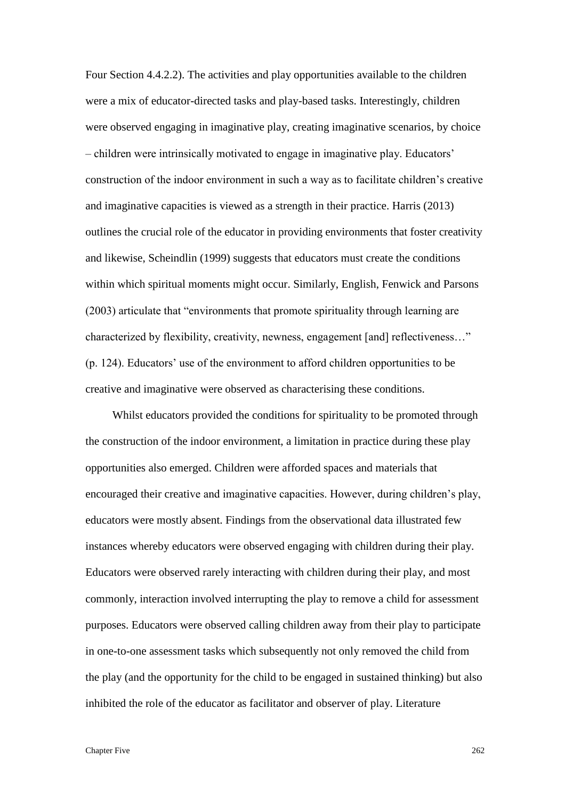Four Section 4.4.2.2). The activities and play opportunities available to the children were a mix of educator-directed tasks and play-based tasks. Interestingly, children were observed engaging in imaginative play, creating imaginative scenarios, by choice – children were intrinsically motivated to engage in imaginative play. Educators' construction of the indoor environment in such a way as to facilitate children's creative and imaginative capacities is viewed as a strength in their practice. Harris (2013) outlines the crucial role of the educator in providing environments that foster creativity and likewise, Scheindlin (1999) suggests that educators must create the conditions within which spiritual moments might occur. Similarly, English, Fenwick and Parsons (2003) articulate that "environments that promote spirituality through learning are characterized by flexibility, creativity, newness, engagement [and] reflectiveness…" (p. 124). Educators' use of the environment to afford children opportunities to be creative and imaginative were observed as characterising these conditions.

Whilst educators provided the conditions for spirituality to be promoted through the construction of the indoor environment, a limitation in practice during these play opportunities also emerged. Children were afforded spaces and materials that encouraged their creative and imaginative capacities. However, during children's play, educators were mostly absent. Findings from the observational data illustrated few instances whereby educators were observed engaging with children during their play. Educators were observed rarely interacting with children during their play, and most commonly, interaction involved interrupting the play to remove a child for assessment purposes. Educators were observed calling children away from their play to participate in one-to-one assessment tasks which subsequently not only removed the child from the play (and the opportunity for the child to be engaged in sustained thinking) but also inhibited the role of the educator as facilitator and observer of play. Literature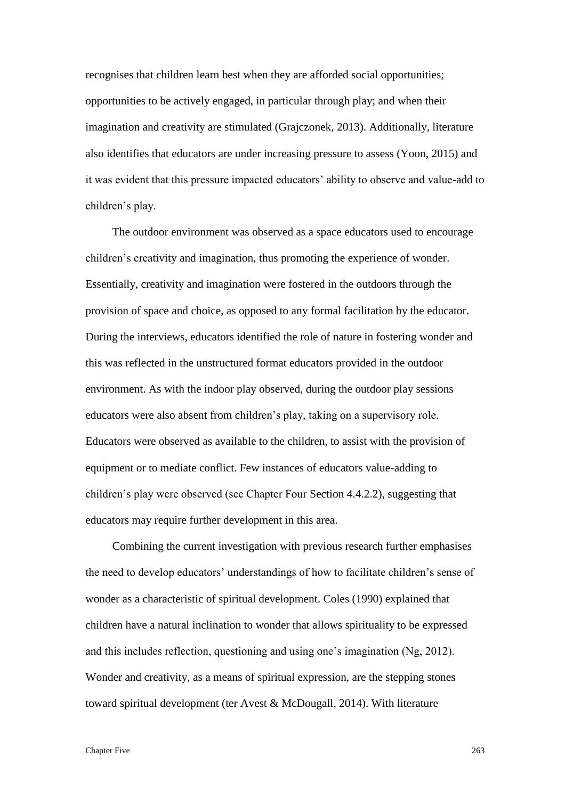recognises that children learn best when they are afforded social opportunities; opportunities to be actively engaged, in particular through play; and when their imagination and creativity are stimulated (Grajczonek, 2013). Additionally, literature also identifies that educators are under increasing pressure to assess (Yoon, 2015) and it was evident that this pressure impacted educators' ability to observe and value-add to children's play.

The outdoor environment was observed as a space educators used to encourage children's creativity and imagination, thus promoting the experience of wonder. Essentially, creativity and imagination were fostered in the outdoors through the provision of space and choice, as opposed to any formal facilitation by the educator. During the interviews, educators identified the role of nature in fostering wonder and this was reflected in the unstructured format educators provided in the outdoor environment. As with the indoor play observed, during the outdoor play sessions educators were also absent from children's play, taking on a supervisory role. Educators were observed as available to the children, to assist with the provision of equipment or to mediate conflict. Few instances of educators value-adding to children's play were observed (see Chapter Four Section 4.4.2.2), suggesting that educators may require further development in this area.

Combining the current investigation with previous research further emphasises the need to develop educators' understandings of how to facilitate children's sense of wonder as a characteristic of spiritual development. Coles (1990) explained that children have a natural inclination to wonder that allows spirituality to be expressed and this includes reflection, questioning and using one's imagination (Ng, 2012). Wonder and creativity, as a means of spiritual expression, are the stepping stones toward spiritual development (ter Avest & McDougall, 2014). With literature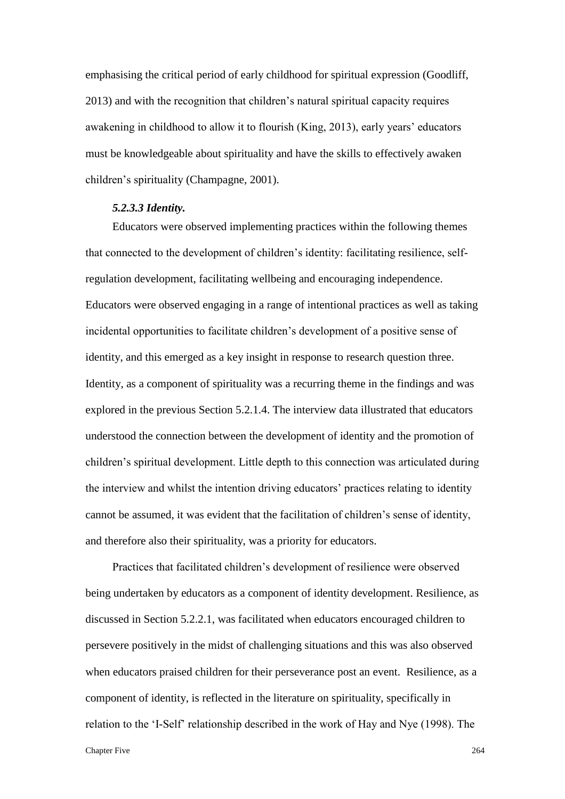emphasising the critical period of early childhood for spiritual expression (Goodliff, 2013) and with the recognition that children's natural spiritual capacity requires awakening in childhood to allow it to flourish (King, 2013), early years' educators must be knowledgeable about spirituality and have the skills to effectively awaken children's spirituality (Champagne, 2001).

### *5.2.3.3 Identity.*

Educators were observed implementing practices within the following themes that connected to the development of children's identity: facilitating resilience, selfregulation development, facilitating wellbeing and encouraging independence. Educators were observed engaging in a range of intentional practices as well as taking incidental opportunities to facilitate children's development of a positive sense of identity, and this emerged as a key insight in response to research question three. Identity, as a component of spirituality was a recurring theme in the findings and was explored in the previous Section 5.2.1.4. The interview data illustrated that educators understood the connection between the development of identity and the promotion of children's spiritual development. Little depth to this connection was articulated during the interview and whilst the intention driving educators' practices relating to identity cannot be assumed, it was evident that the facilitation of children's sense of identity, and therefore also their spirituality, was a priority for educators.

Practices that facilitated children's development of resilience were observed being undertaken by educators as a component of identity development. Resilience, as discussed in Section 5.2.2.1, was facilitated when educators encouraged children to persevere positively in the midst of challenging situations and this was also observed when educators praised children for their perseverance post an event. Resilience, as a component of identity, is reflected in the literature on spirituality, specifically in relation to the 'I-Self' relationship described in the work of Hay and Nye (1998). The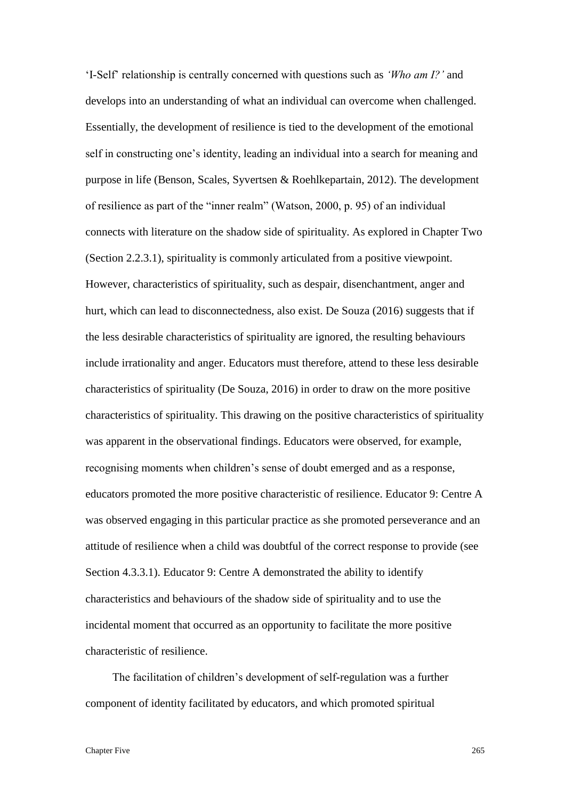'I-Self' relationship is centrally concerned with questions such as *'Who am I?'* and develops into an understanding of what an individual can overcome when challenged. Essentially, the development of resilience is tied to the development of the emotional self in constructing one's identity, leading an individual into a search for meaning and purpose in life (Benson, Scales, Syvertsen & Roehlkepartain, 2012). The development of resilience as part of the "inner realm" (Watson, 2000, p. 95) of an individual connects with literature on the shadow side of spirituality. As explored in Chapter Two (Section 2.2.3.1), spirituality is commonly articulated from a positive viewpoint. However, characteristics of spirituality, such as despair, disenchantment, anger and hurt, which can lead to disconnectedness, also exist. De Souza (2016) suggests that if the less desirable characteristics of spirituality are ignored, the resulting behaviours include irrationality and anger. Educators must therefore, attend to these less desirable characteristics of spirituality (De Souza, 2016) in order to draw on the more positive characteristics of spirituality. This drawing on the positive characteristics of spirituality was apparent in the observational findings. Educators were observed, for example, recognising moments when children's sense of doubt emerged and as a response, educators promoted the more positive characteristic of resilience. Educator 9: Centre A was observed engaging in this particular practice as she promoted perseverance and an attitude of resilience when a child was doubtful of the correct response to provide (see Section 4.3.3.1). Educator 9: Centre A demonstrated the ability to identify characteristics and behaviours of the shadow side of spirituality and to use the incidental moment that occurred as an opportunity to facilitate the more positive characteristic of resilience.

The facilitation of children's development of self-regulation was a further component of identity facilitated by educators, and which promoted spiritual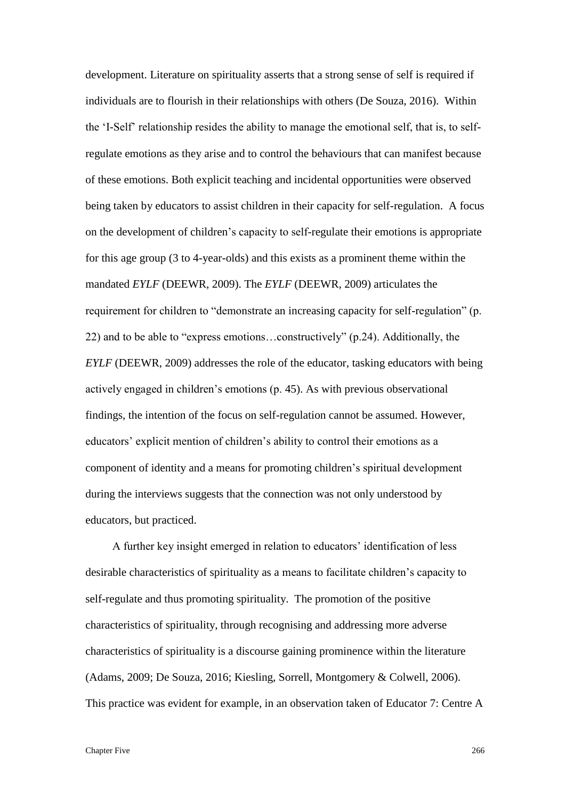development. Literature on spirituality asserts that a strong sense of self is required if individuals are to flourish in their relationships with others (De Souza, 2016). Within the 'I-Self' relationship resides the ability to manage the emotional self, that is, to selfregulate emotions as they arise and to control the behaviours that can manifest because of these emotions. Both explicit teaching and incidental opportunities were observed being taken by educators to assist children in their capacity for self-regulation. A focus on the development of children's capacity to self-regulate their emotions is appropriate for this age group (3 to 4-year-olds) and this exists as a prominent theme within the mandated *EYLF* (DEEWR, 2009). The *EYLF* (DEEWR, 2009) articulates the requirement for children to "demonstrate an increasing capacity for self-regulation" (p. 22) and to be able to "express emotions…constructively" (p.24). Additionally, the *EYLF* (DEEWR, 2009) addresses the role of the educator, tasking educators with being actively engaged in children's emotions (p. 45). As with previous observational findings, the intention of the focus on self-regulation cannot be assumed. However, educators' explicit mention of children's ability to control their emotions as a component of identity and a means for promoting children's spiritual development during the interviews suggests that the connection was not only understood by educators, but practiced.

A further key insight emerged in relation to educators' identification of less desirable characteristics of spirituality as a means to facilitate children's capacity to self-regulate and thus promoting spirituality. The promotion of the positive characteristics of spirituality, through recognising and addressing more adverse characteristics of spirituality is a discourse gaining prominence within the literature (Adams, 2009; De Souza, 2016; Kiesling, Sorrell, Montgomery & Colwell, 2006). This practice was evident for example, in an observation taken of Educator 7: Centre A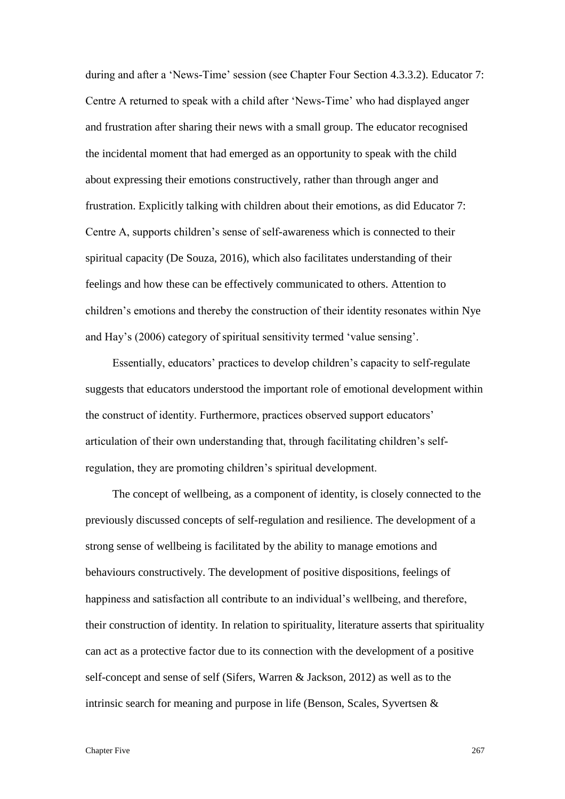during and after a 'News-Time' session (see Chapter Four Section 4.3.3.2). Educator 7: Centre A returned to speak with a child after 'News-Time' who had displayed anger and frustration after sharing their news with a small group. The educator recognised the incidental moment that had emerged as an opportunity to speak with the child about expressing their emotions constructively, rather than through anger and frustration. Explicitly talking with children about their emotions, as did Educator 7: Centre A, supports children's sense of self-awareness which is connected to their spiritual capacity (De Souza, 2016), which also facilitates understanding of their feelings and how these can be effectively communicated to others. Attention to children's emotions and thereby the construction of their identity resonates within Nye and Hay's (2006) category of spiritual sensitivity termed 'value sensing'.

Essentially, educators' practices to develop children's capacity to self-regulate suggests that educators understood the important role of emotional development within the construct of identity. Furthermore, practices observed support educators' articulation of their own understanding that, through facilitating children's selfregulation, they are promoting children's spiritual development.

The concept of wellbeing, as a component of identity, is closely connected to the previously discussed concepts of self-regulation and resilience. The development of a strong sense of wellbeing is facilitated by the ability to manage emotions and behaviours constructively. The development of positive dispositions, feelings of happiness and satisfaction all contribute to an individual's wellbeing, and therefore, their construction of identity. In relation to spirituality, literature asserts that spirituality can act as a protective factor due to its connection with the development of a positive self-concept and sense of self (Sifers, Warren & Jackson, 2012) as well as to the intrinsic search for meaning and purpose in life (Benson, Scales, Syvertsen &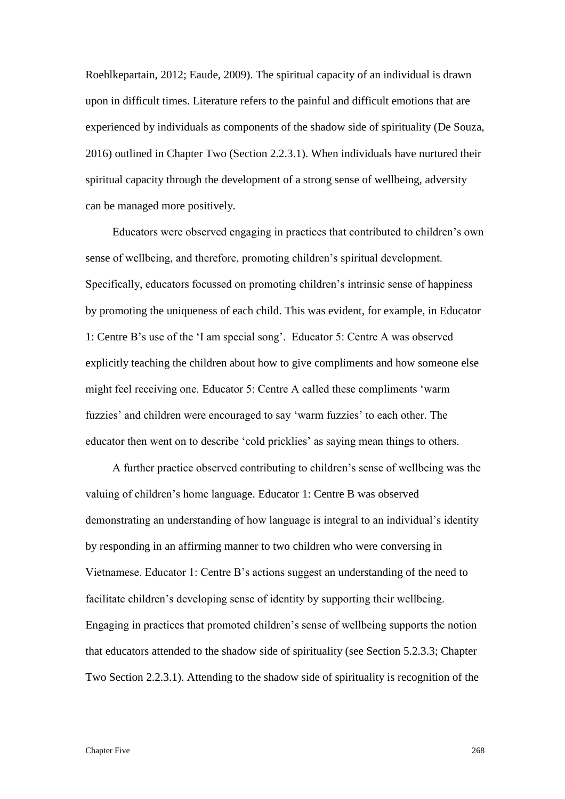Roehlkepartain, 2012; Eaude, 2009). The spiritual capacity of an individual is drawn upon in difficult times. Literature refers to the painful and difficult emotions that are experienced by individuals as components of the shadow side of spirituality (De Souza, 2016) outlined in Chapter Two (Section 2.2.3.1). When individuals have nurtured their spiritual capacity through the development of a strong sense of wellbeing, adversity can be managed more positively.

Educators were observed engaging in practices that contributed to children's own sense of wellbeing, and therefore, promoting children's spiritual development. Specifically, educators focussed on promoting children's intrinsic sense of happiness by promoting the uniqueness of each child. This was evident, for example, in Educator 1: Centre B's use of the 'I am special song'. Educator 5: Centre A was observed explicitly teaching the children about how to give compliments and how someone else might feel receiving one. Educator 5: Centre A called these compliments 'warm fuzzies' and children were encouraged to say 'warm fuzzies' to each other. The educator then went on to describe 'cold pricklies' as saying mean things to others.

A further practice observed contributing to children's sense of wellbeing was the valuing of children's home language. Educator 1: Centre B was observed demonstrating an understanding of how language is integral to an individual's identity by responding in an affirming manner to two children who were conversing in Vietnamese. Educator 1: Centre B's actions suggest an understanding of the need to facilitate children's developing sense of identity by supporting their wellbeing. Engaging in practices that promoted children's sense of wellbeing supports the notion that educators attended to the shadow side of spirituality (see Section 5.2.3.3; Chapter Two Section 2.2.3.1). Attending to the shadow side of spirituality is recognition of the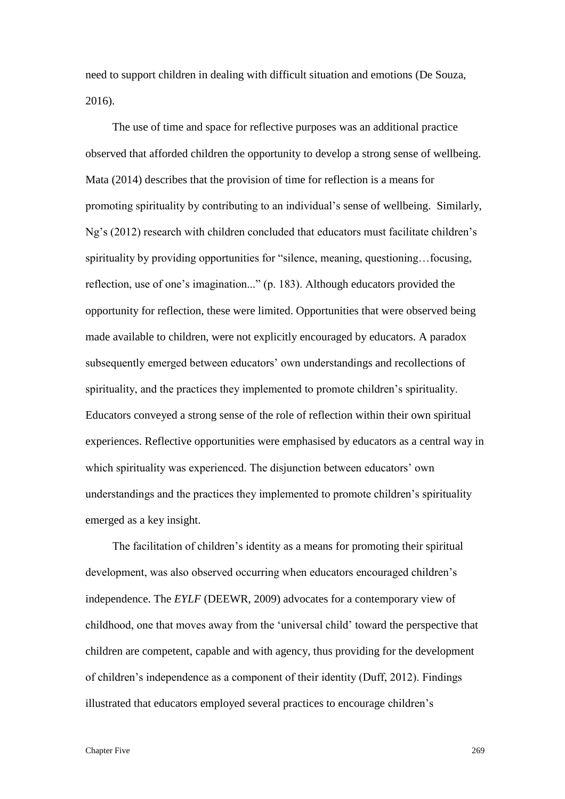need to support children in dealing with difficult situation and emotions (De Souza, 2016).

The use of time and space for reflective purposes was an additional practice observed that afforded children the opportunity to develop a strong sense of wellbeing. Mata (2014) describes that the provision of time for reflection is a means for promoting spirituality by contributing to an individual's sense of wellbeing. Similarly, Ng's (2012) research with children concluded that educators must facilitate children's spirituality by providing opportunities for "silence, meaning, questioning…focusing, reflection, use of one's imagination..." (p. 183). Although educators provided the opportunity for reflection, these were limited. Opportunities that were observed being made available to children, were not explicitly encouraged by educators. A paradox subsequently emerged between educators' own understandings and recollections of spirituality, and the practices they implemented to promote children's spirituality. Educators conveyed a strong sense of the role of reflection within their own spiritual experiences. Reflective opportunities were emphasised by educators as a central way in which spirituality was experienced. The disjunction between educators' own understandings and the practices they implemented to promote children's spirituality emerged as a key insight.

The facilitation of children's identity as a means for promoting their spiritual development, was also observed occurring when educators encouraged children's independence. The *EYLF* (DEEWR, 2009) advocates for a contemporary view of childhood, one that moves away from the 'universal child' toward the perspective that children are competent, capable and with agency, thus providing for the development of children's independence as a component of their identity (Duff, 2012). Findings illustrated that educators employed several practices to encourage children's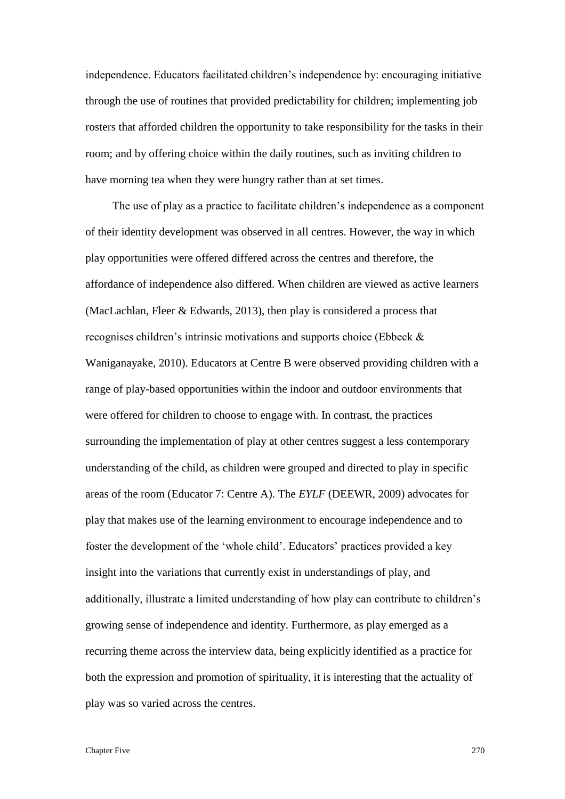independence. Educators facilitated children's independence by: encouraging initiative through the use of routines that provided predictability for children; implementing job rosters that afforded children the opportunity to take responsibility for the tasks in their room; and by offering choice within the daily routines, such as inviting children to have morning tea when they were hungry rather than at set times.

The use of play as a practice to facilitate children's independence as a component of their identity development was observed in all centres. However, the way in which play opportunities were offered differed across the centres and therefore, the affordance of independence also differed. When children are viewed as active learners (MacLachlan, Fleer & Edwards, 2013), then play is considered a process that recognises children's intrinsic motivations and supports choice (Ebbeck & Waniganayake, 2010). Educators at Centre B were observed providing children with a range of play-based opportunities within the indoor and outdoor environments that were offered for children to choose to engage with. In contrast, the practices surrounding the implementation of play at other centres suggest a less contemporary understanding of the child, as children were grouped and directed to play in specific areas of the room (Educator 7: Centre A). The *EYLF* (DEEWR, 2009) advocates for play that makes use of the learning environment to encourage independence and to foster the development of the 'whole child'. Educators' practices provided a key insight into the variations that currently exist in understandings of play, and additionally, illustrate a limited understanding of how play can contribute to children's growing sense of independence and identity. Furthermore, as play emerged as a recurring theme across the interview data, being explicitly identified as a practice for both the expression and promotion of spirituality, it is interesting that the actuality of play was so varied across the centres.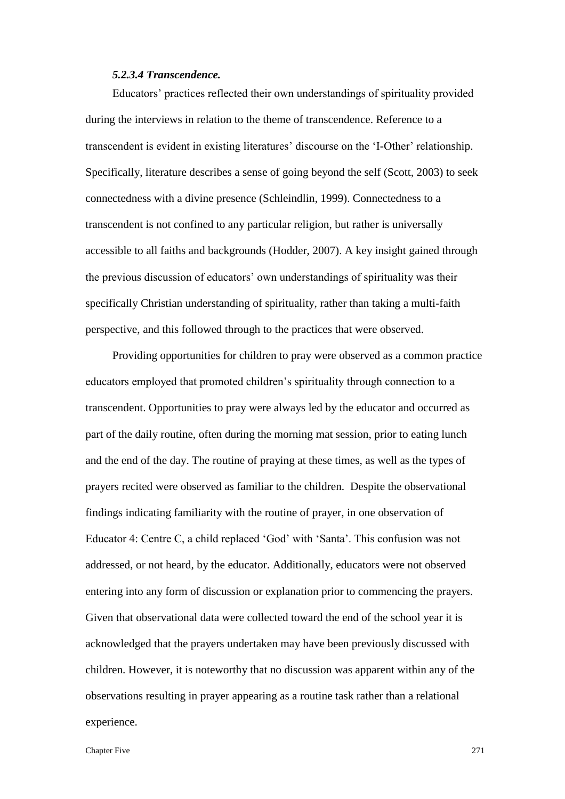### *5.2.3.4 Transcendence.*

Educators' practices reflected their own understandings of spirituality provided during the interviews in relation to the theme of transcendence. Reference to a transcendent is evident in existing literatures' discourse on the 'I-Other' relationship. Specifically, literature describes a sense of going beyond the self (Scott, 2003) to seek connectedness with a divine presence (Schleindlin, 1999). Connectedness to a transcendent is not confined to any particular religion, but rather is universally accessible to all faiths and backgrounds (Hodder, 2007). A key insight gained through the previous discussion of educators' own understandings of spirituality was their specifically Christian understanding of spirituality, rather than taking a multi-faith perspective, and this followed through to the practices that were observed.

Providing opportunities for children to pray were observed as a common practice educators employed that promoted children's spirituality through connection to a transcendent. Opportunities to pray were always led by the educator and occurred as part of the daily routine, often during the morning mat session, prior to eating lunch and the end of the day. The routine of praying at these times, as well as the types of prayers recited were observed as familiar to the children. Despite the observational findings indicating familiarity with the routine of prayer, in one observation of Educator 4: Centre C, a child replaced 'God' with 'Santa'. This confusion was not addressed, or not heard, by the educator. Additionally, educators were not observed entering into any form of discussion or explanation prior to commencing the prayers. Given that observational data were collected toward the end of the school year it is acknowledged that the prayers undertaken may have been previously discussed with children. However, it is noteworthy that no discussion was apparent within any of the observations resulting in prayer appearing as a routine task rather than a relational experience.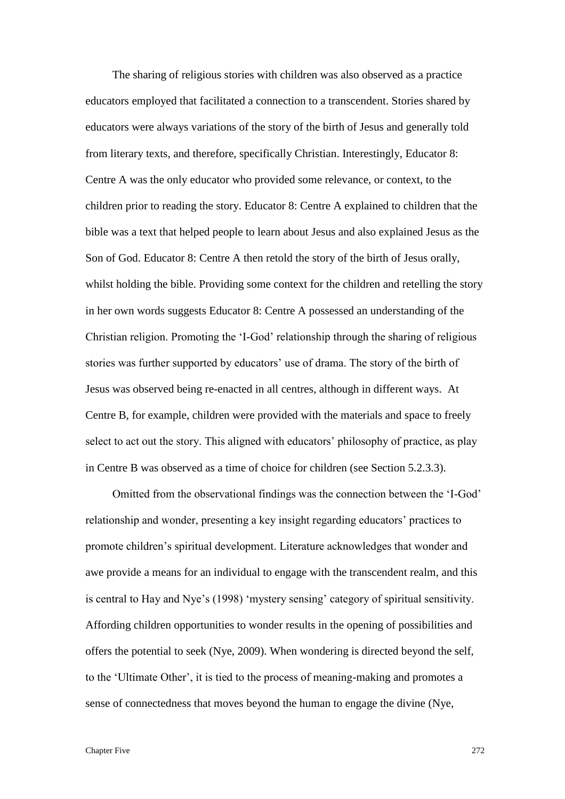The sharing of religious stories with children was also observed as a practice educators employed that facilitated a connection to a transcendent. Stories shared by educators were always variations of the story of the birth of Jesus and generally told from literary texts, and therefore, specifically Christian. Interestingly, Educator 8: Centre A was the only educator who provided some relevance, or context, to the children prior to reading the story. Educator 8: Centre A explained to children that the bible was a text that helped people to learn about Jesus and also explained Jesus as the Son of God. Educator 8: Centre A then retold the story of the birth of Jesus orally, whilst holding the bible. Providing some context for the children and retelling the story in her own words suggests Educator 8: Centre A possessed an understanding of the Christian religion. Promoting the 'I-God' relationship through the sharing of religious stories was further supported by educators' use of drama. The story of the birth of Jesus was observed being re-enacted in all centres, although in different ways. At Centre B, for example, children were provided with the materials and space to freely select to act out the story. This aligned with educators' philosophy of practice, as play in Centre B was observed as a time of choice for children (see Section 5.2.3.3).

Omitted from the observational findings was the connection between the 'I-God' relationship and wonder, presenting a key insight regarding educators' practices to promote children's spiritual development. Literature acknowledges that wonder and awe provide a means for an individual to engage with the transcendent realm, and this is central to Hay and Nye's (1998) 'mystery sensing' category of spiritual sensitivity. Affording children opportunities to wonder results in the opening of possibilities and offers the potential to seek (Nye, 2009). When wondering is directed beyond the self, to the 'Ultimate Other', it is tied to the process of meaning-making and promotes a sense of connectedness that moves beyond the human to engage the divine (Nye,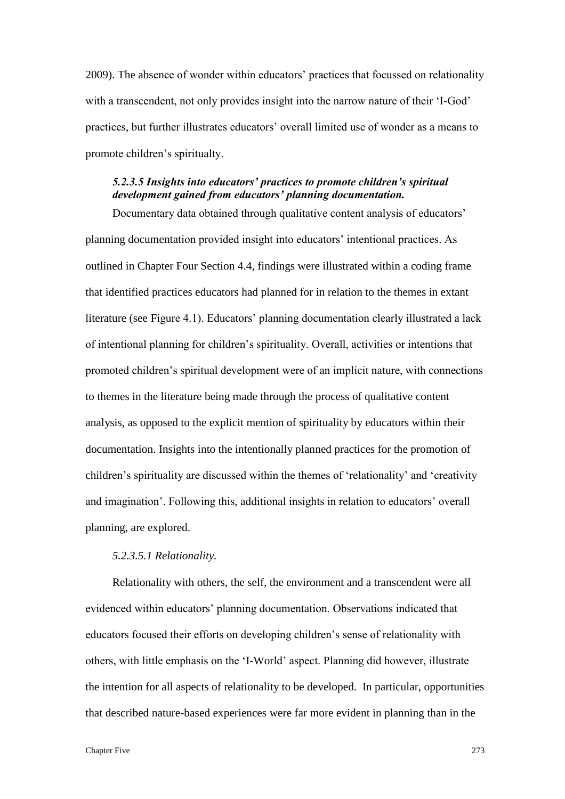2009). The absence of wonder within educators' practices that focussed on relationality with a transcendent, not only provides insight into the narrow nature of their 'I-God' practices, but further illustrates educators' overall limited use of wonder as a means to promote children's spiritualty.

# *5.2.3.5 Insights into educators' practices to promote children's spiritual development gained from educators' planning documentation.*

Documentary data obtained through qualitative content analysis of educators' planning documentation provided insight into educators' intentional practices. As outlined in Chapter Four Section 4.4, findings were illustrated within a coding frame that identified practices educators had planned for in relation to the themes in extant literature (see Figure 4.1). Educators' planning documentation clearly illustrated a lack of intentional planning for children's spirituality. Overall, activities or intentions that promoted children's spiritual development were of an implicit nature, with connections to themes in the literature being made through the process of qualitative content analysis, as opposed to the explicit mention of spirituality by educators within their documentation. Insights into the intentionally planned practices for the promotion of children's spirituality are discussed within the themes of 'relationality' and 'creativity and imagination'. Following this, additional insights in relation to educators' overall planning, are explored.

## *5.2.3.5.1 Relationality.*

Relationality with others, the self, the environment and a transcendent were all evidenced within educators' planning documentation. Observations indicated that educators focused their efforts on developing children's sense of relationality with others, with little emphasis on the 'I-World' aspect. Planning did however, illustrate the intention for all aspects of relationality to be developed. In particular, opportunities that described nature-based experiences were far more evident in planning than in the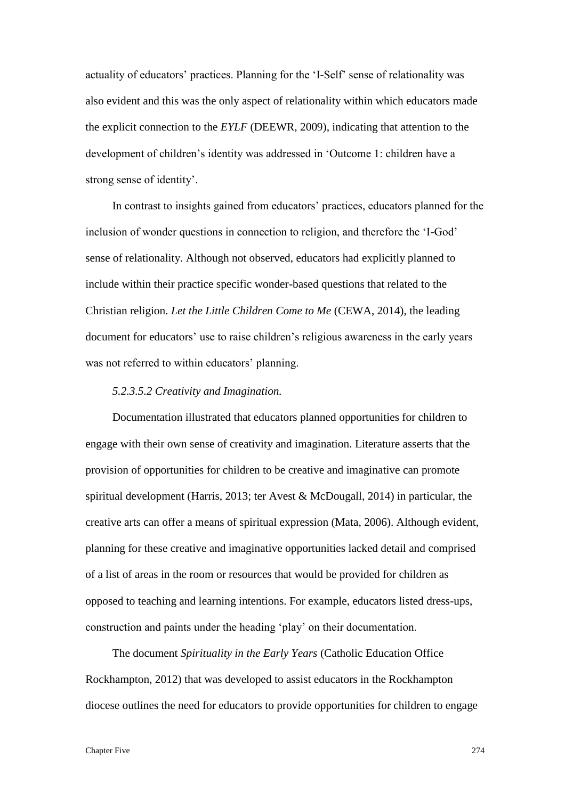actuality of educators' practices. Planning for the 'I-Self' sense of relationality was also evident and this was the only aspect of relationality within which educators made the explicit connection to the *EYLF* (DEEWR, 2009), indicating that attention to the development of children's identity was addressed in 'Outcome 1: children have a strong sense of identity'.

In contrast to insights gained from educators' practices, educators planned for the inclusion of wonder questions in connection to religion, and therefore the 'I-God' sense of relationality*.* Although not observed, educators had explicitly planned to include within their practice specific wonder-based questions that related to the Christian religion. *Let the Little Children Come to Me* (CEWA, 2014), the leading document for educators' use to raise children's religious awareness in the early years was not referred to within educators' planning.

### *5.2.3.5.2 Creativity and Imagination.*

Documentation illustrated that educators planned opportunities for children to engage with their own sense of creativity and imagination. Literature asserts that the provision of opportunities for children to be creative and imaginative can promote spiritual development (Harris, 2013; ter Avest & McDougall, 2014) in particular, the creative arts can offer a means of spiritual expression (Mata, 2006). Although evident, planning for these creative and imaginative opportunities lacked detail and comprised of a list of areas in the room or resources that would be provided for children as opposed to teaching and learning intentions. For example, educators listed dress-ups, construction and paints under the heading 'play' on their documentation.

The document *Spirituality in the Early Years* (Catholic Education Office Rockhampton, 2012) that was developed to assist educators in the Rockhampton diocese outlines the need for educators to provide opportunities for children to engage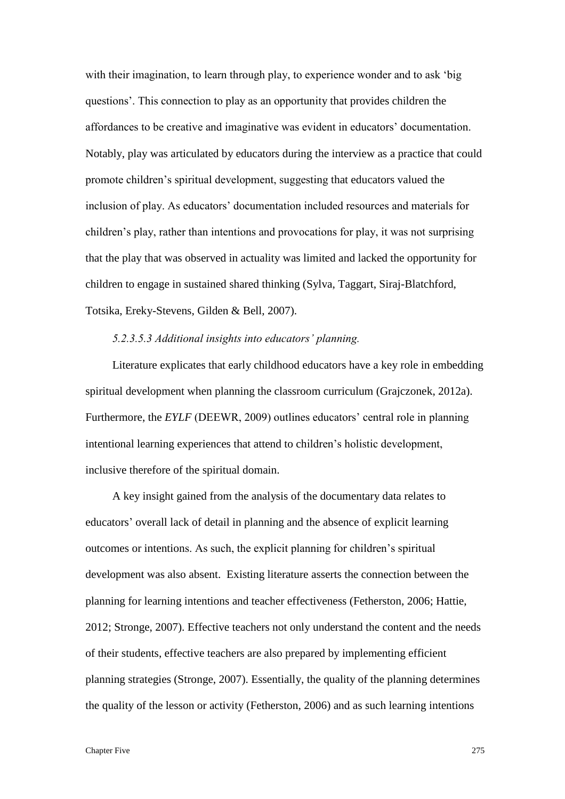with their imagination, to learn through play, to experience wonder and to ask 'big questions'. This connection to play as an opportunity that provides children the affordances to be creative and imaginative was evident in educators' documentation. Notably, play was articulated by educators during the interview as a practice that could promote children's spiritual development, suggesting that educators valued the inclusion of play. As educators' documentation included resources and materials for children's play, rather than intentions and provocations for play, it was not surprising that the play that was observed in actuality was limited and lacked the opportunity for children to engage in sustained shared thinking (Sylva, Taggart, Siraj-Blatchford, Totsika, Ereky-Stevens, Gilden & Bell, 2007).

### *5.2.3.5.3 Additional insights into educators' planning.*

Literature explicates that early childhood educators have a key role in embedding spiritual development when planning the classroom curriculum (Grajczonek, 2012a). Furthermore, the *EYLF* (DEEWR, 2009) outlines educators' central role in planning intentional learning experiences that attend to children's holistic development, inclusive therefore of the spiritual domain.

A key insight gained from the analysis of the documentary data relates to educators' overall lack of detail in planning and the absence of explicit learning outcomes or intentions. As such, the explicit planning for children's spiritual development was also absent. Existing literature asserts the connection between the planning for learning intentions and teacher effectiveness (Fetherston, 2006; Hattie, 2012; Stronge, 2007). Effective teachers not only understand the content and the needs of their students, effective teachers are also prepared by implementing efficient planning strategies (Stronge, 2007). Essentially, the quality of the planning determines the quality of the lesson or activity (Fetherston, 2006) and as such learning intentions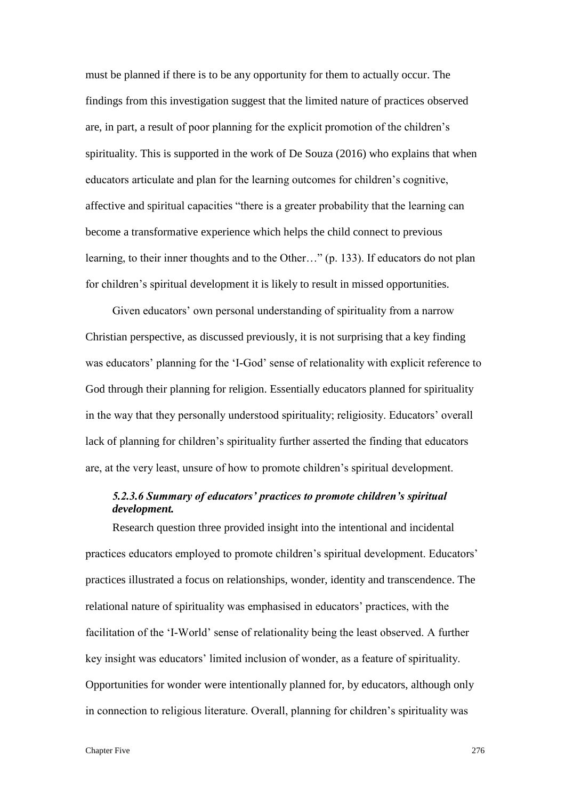must be planned if there is to be any opportunity for them to actually occur. The findings from this investigation suggest that the limited nature of practices observed are, in part, a result of poor planning for the explicit promotion of the children's spirituality. This is supported in the work of De Souza (2016) who explains that when educators articulate and plan for the learning outcomes for children's cognitive, affective and spiritual capacities "there is a greater probability that the learning can become a transformative experience which helps the child connect to previous learning, to their inner thoughts and to the Other…" (p. 133). If educators do not plan for children's spiritual development it is likely to result in missed opportunities.

Given educators' own personal understanding of spirituality from a narrow Christian perspective, as discussed previously, it is not surprising that a key finding was educators' planning for the 'I-God' sense of relationality with explicit reference to God through their planning for religion. Essentially educators planned for spirituality in the way that they personally understood spirituality; religiosity. Educators' overall lack of planning for children's spirituality further asserted the finding that educators are, at the very least, unsure of how to promote children's spiritual development.

# *5.2.3.6 Summary of educators' practices to promote children's spiritual development.*

Research question three provided insight into the intentional and incidental practices educators employed to promote children's spiritual development. Educators' practices illustrated a focus on relationships, wonder, identity and transcendence. The relational nature of spirituality was emphasised in educators' practices, with the facilitation of the 'I-World' sense of relationality being the least observed. A further key insight was educators' limited inclusion of wonder, as a feature of spirituality. Opportunities for wonder were intentionally planned for, by educators, although only in connection to religious literature. Overall, planning for children's spirituality was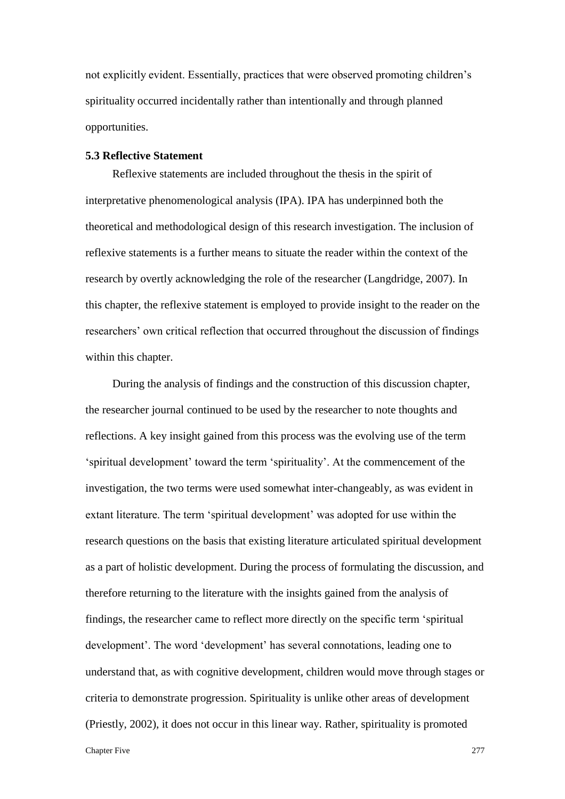not explicitly evident. Essentially, practices that were observed promoting children's spirituality occurred incidentally rather than intentionally and through planned opportunities.

## **5.3 Reflective Statement**

Reflexive statements are included throughout the thesis in the spirit of interpretative phenomenological analysis (IPA). IPA has underpinned both the theoretical and methodological design of this research investigation. The inclusion of reflexive statements is a further means to situate the reader within the context of the research by overtly acknowledging the role of the researcher (Langdridge, 2007). In this chapter, the reflexive statement is employed to provide insight to the reader on the researchers' own critical reflection that occurred throughout the discussion of findings within this chapter.

During the analysis of findings and the construction of this discussion chapter, the researcher journal continued to be used by the researcher to note thoughts and reflections. A key insight gained from this process was the evolving use of the term 'spiritual development' toward the term 'spirituality'. At the commencement of the investigation, the two terms were used somewhat inter-changeably, as was evident in extant literature. The term 'spiritual development' was adopted for use within the research questions on the basis that existing literature articulated spiritual development as a part of holistic development. During the process of formulating the discussion, and therefore returning to the literature with the insights gained from the analysis of findings, the researcher came to reflect more directly on the specific term 'spiritual development'. The word 'development' has several connotations, leading one to understand that, as with cognitive development, children would move through stages or criteria to demonstrate progression. Spirituality is unlike other areas of development (Priestly, 2002), it does not occur in this linear way. Rather, spirituality is promoted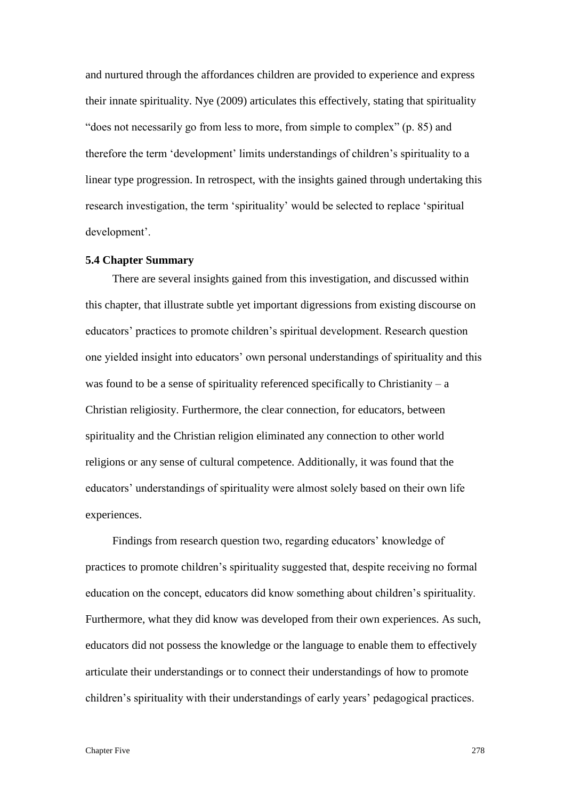and nurtured through the affordances children are provided to experience and express their innate spirituality. Nye (2009) articulates this effectively, stating that spirituality "does not necessarily go from less to more, from simple to complex" (p. 85) and therefore the term 'development' limits understandings of children's spirituality to a linear type progression. In retrospect, with the insights gained through undertaking this research investigation, the term 'spirituality' would be selected to replace 'spiritual development'.

### **5.4 Chapter Summary**

There are several insights gained from this investigation, and discussed within this chapter, that illustrate subtle yet important digressions from existing discourse on educators' practices to promote children's spiritual development. Research question one yielded insight into educators' own personal understandings of spirituality and this was found to be a sense of spirituality referenced specifically to Christianity – a Christian religiosity. Furthermore, the clear connection, for educators, between spirituality and the Christian religion eliminated any connection to other world religions or any sense of cultural competence. Additionally, it was found that the educators' understandings of spirituality were almost solely based on their own life experiences.

Findings from research question two, regarding educators' knowledge of practices to promote children's spirituality suggested that, despite receiving no formal education on the concept, educators did know something about children's spirituality. Furthermore, what they did know was developed from their own experiences. As such, educators did not possess the knowledge or the language to enable them to effectively articulate their understandings or to connect their understandings of how to promote children's spirituality with their understandings of early years' pedagogical practices.